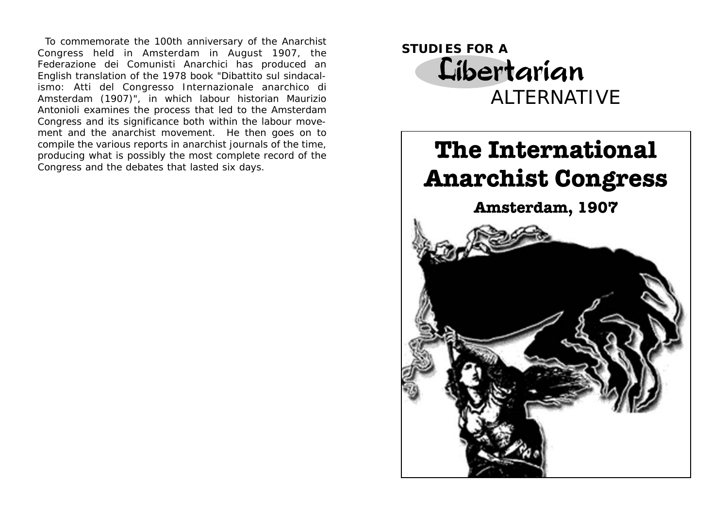To commemorate the 100th anniversary of the Anarchist Congress held in Amsterdam in August 1907, the *Federazione dei Comunisti Anarchici* has produced an English translation of the 1978 book *"Dibattito sul sindacalismo: Atti del Congresso Internazionale anarchico di Amsterdam (1907)"*, in which labour historian Maurizio Antonioli examines the process that led to the Amsterdam Congress and its significance both within the labour movement and the anarchist movement. He then goes on to compile the various reports in anarchist journals of the time, producing what is possibly the most complete record of the Congress and the debates that lasted six days.



# **The International Anarchist Congress**

**Amsterdam, 1907**

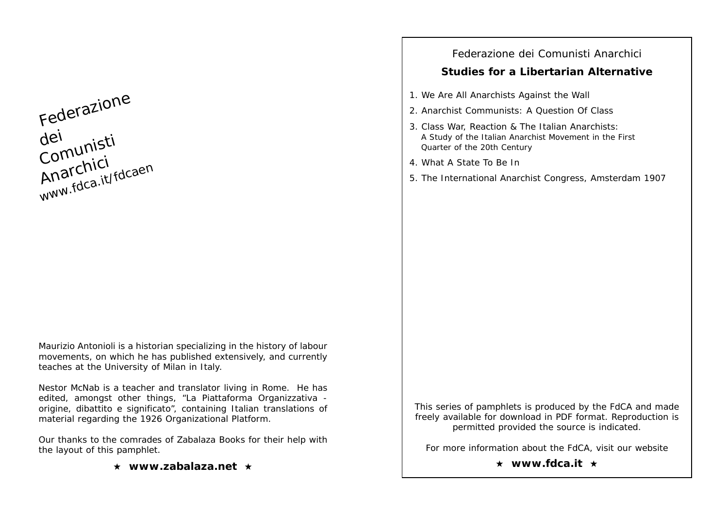Federazione dei<br>Comunisti<br>Comunici Anarchici www.fdca.it/fdcaen

Maurizio Antonioli is a historian specializing in the history of labour movements, on which he has published extensively, and currently teaches at the University of Milan in Italy.

Nestor McNab is a teacher and translator living in Rome. He has edited, amongst other things, "*La Piattaforma Organizzativa origine, dibattito e significato*", containing Italian translations of material regarding the 1926 Organizational Platform.

Our thanks to the comrades of Zabalaza Books for their help with the layout of this pamphlet.

★ www.zabalaza.net ★

## Federazione dei Comunisti Anarchici

## **Studies for a Libertarian Alternative**

- 1. We Are All Anarchists Against the Wall
- 2. Anarchist Communists: A Question Of Class
- 3. Class War, Reaction & The Italian Anarchists: A Study of the Italian Anarchist Movement in the First Quarter of the 20th Century
- 4. What A State To Be In
- 5. The International Anarchist Congress, Amsterdam 1907

This series of pamphlets is produced by the FdCA and made freely available for download in PDF format. Reproduction is permitted provided the source is indicated.

For more information about the FdCA, visit our website

★ www.fdca.it ★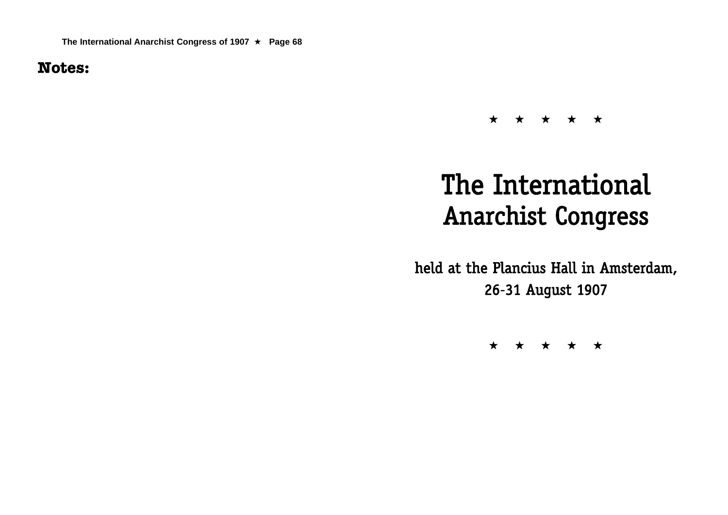**Notes:**

## $\star\hspace{0.1cm} \star\hspace{0.1cm} \star\hspace{0.1cm} \star\hspace{0.1cm} \star\hspace{0.1cm} \star\hspace{0.1cm} \star\hspace{0.1cm} \star\hspace{0.1cm} \star\hspace{0.1cm} \star\hspace{0.1cm} \star\hspace{0.1cm} \star\hspace{0.1cm} \star\hspace{0.1cm} \star\hspace{0.1cm} \star\hspace{0.1cm} \star\hspace{0.1cm} \star\hspace{0.1cm} \star\hspace{0.1cm} \star\hspace{0.1cm} \star\hspace{0.1cm}$

# The International Anarchist Congress

held at the Plancius Hall in Amsterdam, 26-31 August 1907

 $\star\hspace{0.1cm} \star\hspace{0.1cm} \star\hspace{0.1cm} \star\hspace{0.1cm} \star\hspace{0.1cm} \star\hspace{0.1cm} \star\hspace{0.1cm} \star\hspace{0.1cm} \star\hspace{0.1cm} \star$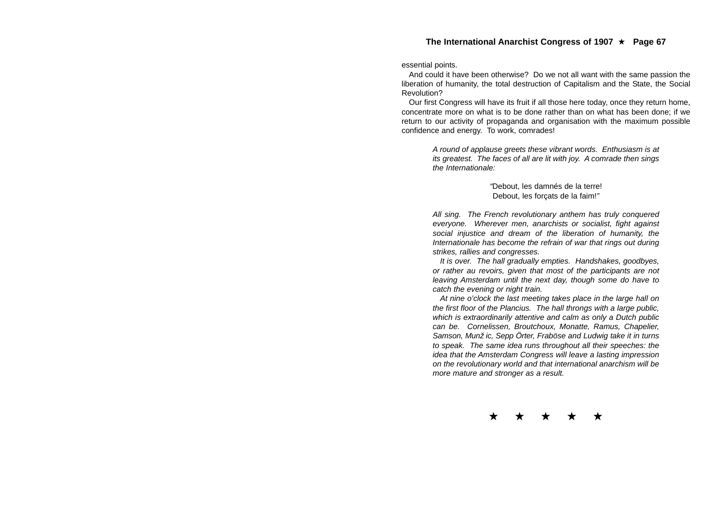essential points.

And could it have been otherwise? Do we not all want with the same passion the liberation of humanity, the total destruction of Capitalism and the State, the Social Revolution?

Our first Congress will have its fruit if all those here today, once they return home, concentrate more on what is to be done rather than on what has been done; if we return to our activity of propaganda and organisation with the maximum possible confidence and energy. To work, comrades!

> *A round of applause greets these vibrant words. Enthusiasm is at its greatest. The faces of all are lit with joy. A comrade then sings the Internationale:*

> > *"*Debout, les damnés de la terre! Debout, les forçats de la faim!*"*

*All sing. The French revolutionary anthem has truly conquered everyone. Wherever men, anarchists or socialist, fight against social injustice and dream of the liberation of humanity, the Internationale has become the refrain of war that rings out during strikes, rallies and congresses.*

*It is over. The hall gradually empties. Handshakes, goodbyes, or rather au revoirs, given that most of the participants are not leaving Amsterdam until the next day, though some do have to catch the evening or night train.*

*At nine o'clock the last meeting takes place in the large hall on the first floor of the Plancius. The hall throngs with a large public, which is extraordinarily attentive and calm as only a Dutch public can be. Cornelissen, Broutchoux, Monatte, Ramus, Chapelier, Samson, Munžic, Sepp Örter, Fraböse and Ludwig take it in turns to speak. The same idea runs throughout all their speeches: the idea that the Amsterdam Congress will leave a lasting impression on the revolutionary world and that international anarchism will be more mature and stronger as a result.*

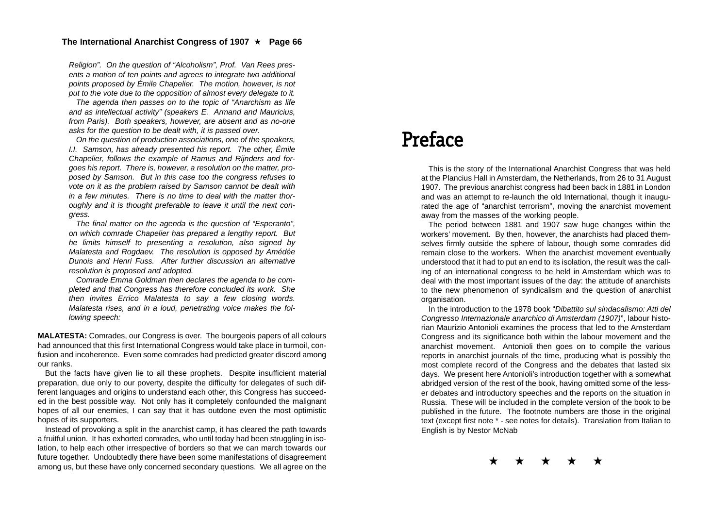*Religion". On the question of "Alcoholism", Prof. Van Rees presents a motion of ten points and agrees to integrate two additional points proposed by Émile Chapelier. The motion, however, is not put to the vote due to the opposition of almost every delegate to it.*

*The agenda then passes on to the topic of "Anarchism as life and as intellectual activity" (speakers E. Armand and Mauricius, from Paris). Both speakers, however, are absent and as no-one asks for the question to be dealt with, it is passed over.*

*On the question of production associations, one of the speakers, I.I. Samson, has already presented his report. The other, Émile Chapelier, follows the example of Ramus and Rijnders and forgoes his report. There is, however, a resolution on the matter, proposed by Samson. But in this case too the congress refuses to vote on it as the problem raised by Samson cannot be dealt with in a few minutes. There is no time to deal with the matter thoroughly and it is thought preferable to leave it until the next congress.*

*The final matter on the agenda is the question of "Esperanto", on which comrade Chapelier has prepared a lengthy report. But he limits himself to presenting a resolution, also signed by Malatesta and Rogdaev. The resolution is opposed by Amédée Dunois and Henri Fuss. After further discussion an alternative resolution is proposed and adopted.*

*Comrade Emma Goldman then declares the agenda to be completed and that Congress has therefore concluded its work. She then invites Errico Malatesta to say a few closing words. Malatesta rises, and in a loud, penetrating voice makes the following speech:*

**MALATESTA:** Comrades, our Congress is over. The bourgeois papers of all colours had announced that this first International Congress would take place in turmoil, confusion and incoherence. Even some comrades had predicted greater discord among our ranks.

But the facts have given lie to all these prophets. Despite insufficient material preparation, due only to our poverty, despite the difficulty for delegates of such different languages and origins to understand each other, this Congress has succeeded in the best possible way. Not only has it completely confounded the malignant hopes of all our enemies, I can say that it has outdone even the most optimistic hopes of its supporters.

Instead of provoking a split in the anarchist camp, it has cleared the path towards a fruitful union. It has exhorted comrades, who until today had been struggling in isolation, to help each other irrespective of borders so that we can march towards our future together. Undoubtedly there have been some manifestations of disagreement among us, but these have only concerned secondary questions. We all agree on the

## Preface

This is the story of the International Anarchist Congress that was held at the Plancius Hall in Amsterdam, the Netherlands, from 26 to 31 August 1907. The previous anarchist congress had been back in 1881 in London and was an attempt to re-launch the old International, though it inaugurated the age of "anarchist terrorism", moving the anarchist movement away from the masses of the working people.

The period between 1881 and 1907 saw huge changes within the workers' movement. By then, however, the anarchists had placed themselves firmly outside the sphere of labour, though some comrades did remain close to the workers. When the anarchist movement eventually understood that it had to put an end to its isolation, the result was the calling of an international congress to be held in Amsterdam which was to deal with the most important issues of the day: the attitude of anarchists to the new phenomenon of syndicalism and the question of anarchist organisation.

In the introduction to the 1978 book "*Dibattito sul sindacalismo: Atti del Congresso Internazionale anarchico di Amsterdam (1907)*", labour historian Maurizio Antonioli examines the process that led to the Amsterdam Congress and its significance both within the labour movement and the anarchist movement. Antonioli then goes on to compile the various reports in anarchist journals of the time, producing what is possibly the most complete record of the Congress and the debates that lasted six days. We present here Antonioli's introduction together with a somewhat abridged version of the rest of the book, having omitted some of the lesser debates and introductory speeches and the reports on the situation in Russia. These will be included in the complete version of the book to be published in the future. The footnote numbers are those in the original text (except first note \* - see notes for details). Translation from Italian to English is by Nestor McNab

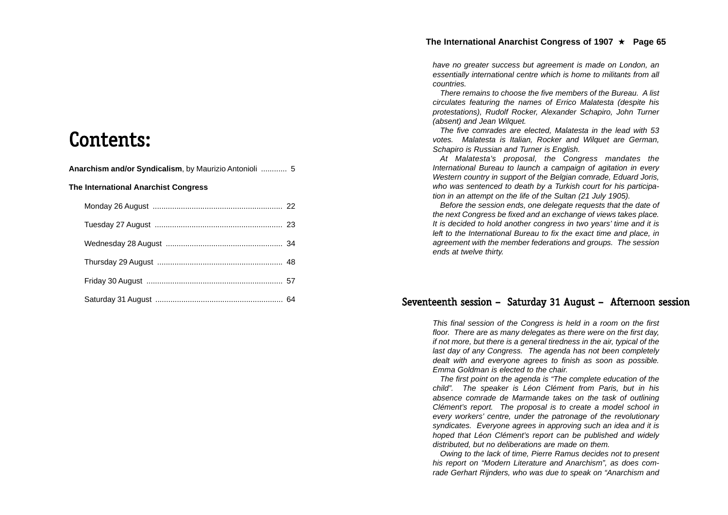Contents:

**Anarchism and/or Syndicalism**, by Maurizio Antonioli ............ 5

**The International Anarchist Congress**

*have no greater success but agreement is made on London, an essentially international centre which is home to militants from all countries.*

*There remains to choose the five members of the Bureau. A list circulates featuring the names of Errico Malatesta (despite his protestations), Rudolf Rocker, Alexander Schapiro, John Turner (absent) and Jean Wilquet.*

*The five comrades are elected, Malatesta in the lead with 53 votes. Malatesta is Italian, Rocker and Wilquet are German, Schapiro is Russian and Turner is English.*

*At Malatesta's proposal, the Congress mandates the International Bureau to launch a campaign of agitation in every Western country in support of the Belgian comrade, Eduard Joris, who was sentenced to death by a Turkish court for his participation in an attempt on the life of the Sultan (21 July 1905).*

*Before the session ends, one delegate requests that the date of the next Congress be fixed and an exchange of views takes place. It is decided to hold another congress in two years' time and it is left to the International Bureau to fix the exact time and place, in agreement with the member federations and groups. The session ends at twelve thirty.*

### Seventeenth session – Saturday 31 August – Afternoon session

*This final session of the Congress is held in a room on the first floor. There are as many delegates as there were on the first day, if not more, but there is a general tiredness in the air, typical of the last day of any Congress. The agenda has not been completely dealt with and everyone agrees to finish as soon as possible. Emma Goldman is elected to the chair.*

*The first point on the agenda is "The complete education of the child". The speaker is Léon Clément from Paris, but in his absence comrade de Marmande takes on the task of outlining Clément's report. The proposal is to create a model school in every workers' centre, under the patronage of the revolutionary syndicates. Everyone agrees in approving such an idea and it is hoped that Léon Clément's report can be published and widely distributed, but no deliberations are made on them.*

*Owing to the lack of time, Pierre Ramus decides not to present his report on "Modern Literature and Anarchism", as does comrade Gerhart Rijnders, who was due to speak on "Anarchism and*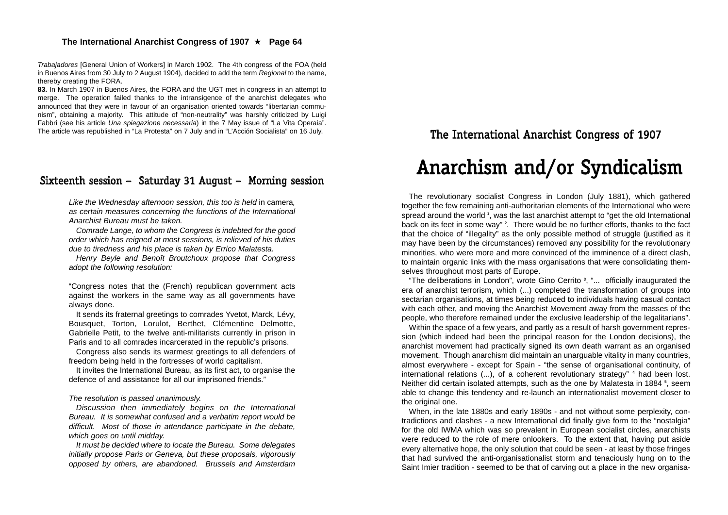*Trabajadores* [General Union of Workers] in March 1902. The 4th congress of the FOA (held in Buenos Aires from 30 July to 2 August 1904), decided to add the term *Regional* to the name, thereby creating the FORA.

**83.** In March 1907 in Buenos Aires, the FORA and the UGT met in congress in an attempt to merge. The operation failed thanks to the intransigence of the anarchist delegates who announced that they were in favour of an organisation oriented towards "libertarian communism", obtaining a majority. This attitude of "non-neutrality" was harshly criticized by Luigi Fabbri (see his article *Una spiegazione necessaria*) in the 7 May issue of "La Vita Operaia". The article was republished in "La Protesta" on 7 July and in "L'Acción Socialista" on 16 July.

## Sixteenth session – Saturday 31 August – Morning session

Like the Wednesday afternoon session, this too is held in camera, *as certain measures concerning the functions of the International Anarchist Bureau must be taken.*

*Comrade Lange, to whom the Congress is indebted for the good order which has reigned at most sessions, is relieved of his duties due to tiredness and his place is taken by Errico Malatesta.*

*Henry Beyle and Benoît Broutchoux propose that Congress adopt the following resolution:*

"Congress notes that the (French) republican government acts against the workers in the same way as all governments have always done.

It sends its fraternal greetings to comrades Yvetot, Marck, Lévy, Bousquet, Torton, Lorulot, Berthet, Clémentine Delmotte, Gabrielle Petit, to the twelve anti-militarists currently in prison in Paris and to all comrades incarcerated in the republic's prisons.

Congress also sends its warmest greetings to all defenders of freedom being held in the fortresses of world capitalism.

It invites the International Bureau, as its first act, to organise the defence of and assistance for all our imprisoned friends."

#### *The resolution is passed unanimously.*

*Discussion then immediately begins on the International Bureau. It is somewhat confused and a verbatim report would be difficult. Most of those in attendance participate in the debate, which goes on until midday.*

*It must be decided where to locate the Bureau. Some delegates initially propose Paris or Geneva, but these proposals, vigorously opposed by others, are abandoned. Brussels and Amsterdam*

## The International Anarchist Congress of 1907

## Anarchism and/or Syndicalism

The revolutionary socialist Congress in London (July 1881), which gathered together the few remaining anti-authoritarian elements of the International who were spread around the world **<sup>1</sup>**, was the last anarchist attempt to "get the old International back on its feet in some way" **2**. There would be no further efforts, thanks to the fact that the choice of "illegality" as the only possible method of struggle (justified as it may have been by the circumstances) removed any possibility for the revolutionary minorities, who were more and more convinced of the imminence of a direct clash, to maintain organic links with the mass organisations that were consolidating themselves throughout most parts of Europe.

"The deliberations in London", wrote Gino Cerrito **<sup>3</sup>**, "... officially inaugurated the era of anarchist terrorism, which (...) completed the transformation of groups into sectarian organisations, at times being reduced to individuals having casual contact with each other, and moving the Anarchist Movement away from the masses of the people, who therefore remained under the exclusive leadership of the legalitarians".

Within the space of a few years, and partly as a result of harsh government repression (which indeed had been the principal reason for the London decisions), the anarchist movement had practically signed its own death warrant as an organised movement. Though anarchism did maintain an unarguable vitality in many countries, almost everywhere - except for Spain - "the sense of organisational continuity, of international relations (...), of a coherent revolutionary strategy" **<sup>4</sup>** had been lost. Neither did certain isolated attempts, such as the one by Malatesta in 1884 **<sup>5</sup>**, seem able to change this tendency and re-launch an internationalist movement closer to the original one.

When, in the late 1880s and early 1890s - and not without some perplexity, contradictions and clashes - a new International did finally give form to the "nostalgia" for the old IWMA which was so prevalent in European socialist circles, anarchists were reduced to the role of mere onlookers. To the extent that, having put aside every alternative hope, the only solution that could be seen - at least by those fringes that had survived the anti-organisationalist storm and tenaciously hung on to the Saint Imier tradition - seemed to be that of carving out a place in the new organisa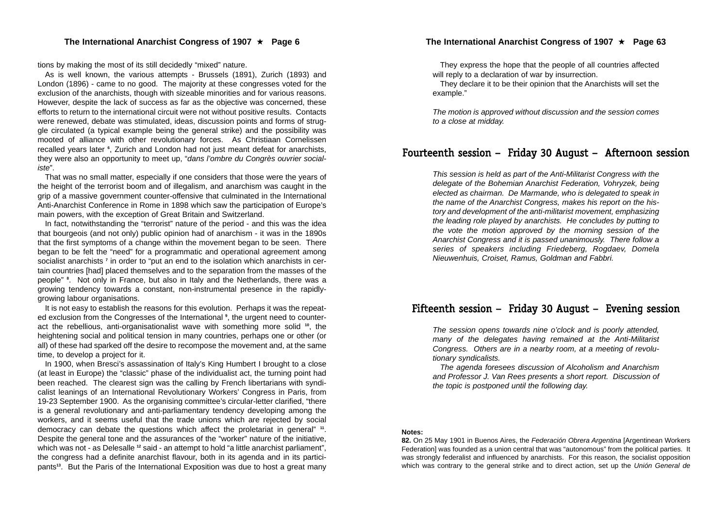tions by making the most of its still decidedly "mixed" nature.

As is well known, the various attempts - Brussels (1891), Zurich (1893) and London (1896) - came to no good. The majority at these congresses voted for the exclusion of the anarchists, though with sizeable minorities and for various reasons. However, despite the lack of success as far as the objective was concerned, these efforts to return to the international circuit were not without positive results. Contacts were renewed, debate was stimulated, ideas, discussion points and forms of struggle circulated (a typical example being the general strike) and the possibility was mooted of alliance with other revolutionary forces. As Christiaan Cornelissen recalled years later **<sup>6</sup>**, Zurich and London had not just meant defeat for anarchists, they were also an opportunity to meet up, "*dans l'ombre du Congrès ouvrier socialiste*".

That was no small matter, especially if one considers that those were the years of the height of the terrorist boom and of illegalism, and anarchism was caught in the grip of a massive government counter-offensive that culminated in the International Anti-Anarchist Conference in Rome in 1898 which saw the participation of Europe's main powers, with the exception of Great Britain and Switzerland.

In fact, notwithstanding the "terrorist" nature of the period - and this was the idea that bourgeois (and not only) public opinion had of anarchism - it was in the 1890s that the first symptoms of a change within the movement began to be seen. There began to be felt the "need" for a programmatic and operational agreement among socialist anarchists **<sup>7</sup>** in order to "put an end to the isolation which anarchists in certain countries [had] placed themselves and to the separation from the masses of the people" **<sup>8</sup>**. Not only in France, but also in Italy and the Netherlands, there was a growing tendency towards a constant, non-instrumental presence in the rapidlygrowing labour organisations.

It is not easy to establish the reasons for this evolution. Perhaps it was the repeated exclusion from the Congresses of the International **<sup>9</sup>**, the urgent need to counteract the rebellious, anti-organisationalist wave with something more solid **<sup>10</sup>**, the heightening social and political tension in many countries, perhaps one or other (or all) of these had sparked off the desire to recompose the movement and, at the same time, to develop a project for it.

In 1900, when Bresci's assassination of Italy's King Humbert I brought to a close (at least in Europe) the "classic" phase of the individualist act, the turning point had been reached. The clearest sign was the calling by French libertarians with syndicalist leanings of an International Revolutionary Workers' Congress in Paris, from 19-23 September 1900. As the organising committee's circular-letter clarified, "there is a general revolutionary and anti-parliamentary tendency developing among the workers, and it seems useful that the trade unions which are rejected by social democracy can debate the questions which affect the proletariat in general" **<sup>11</sup>**. Despite the general tone and the assurances of the "worker" nature of the initiative, which was not - as Delesalle **<sup>12</sup>** said - an attempt to hold "a little anarchist parliament", the congress had a definite anarchist flavour, both in its agenda and in its participants**<sup>13</sup>**. But the Paris of the International Exposition was due to host a great many

They express the hope that the people of all countries affected will reply to a declaration of war by insurrection.

They declare it to be their opinion that the Anarchists will set the example."

*The motion is approved without discussion and the session comes to a close at midday.*

## Fourteenth session – Friday 30 August – Afternoon session

*This session is held as part of the Anti-Militarist Congress with the delegate of the Bohemian Anarchist Federation, Vohryzek, being elected as chairman. De Marmande, who is delegated to speak in the name of the Anarchist Congress, makes his report on the history and development of the anti-militarist movement, emphasizing the leading role played by anarchists. He concludes by putting to the vote the motion approved by the morning session of the Anarchist Congress and it is passed unanimously. There follow a series of speakers including Friedeberg, Rogdaev, Domela Nieuwenhuis, Croiset, Ramus, Goldman and Fabbri.*

## Fifteenth session – Friday 30 August – Evening session

*The session opens towards nine o'clock and is poorly attended, many of the delegates having remained at the Anti-Militarist Congress. Others are in a nearby room, at a meeting of revolutionary syndicalists.*

*The agenda foresees discussion of Alcoholism and Anarchism and Professor J. Van Rees presents a short report. Discussion of the topic is postponed until the following day.*

#### **Notes:**

**82.** On 25 May 1901 in Buenos Aires, the *Federación Obrera Argentina* [Argentinean Workers Federation] was founded as a union central that was "autonomous" from the political parties. It was strongly federalist and influenced by anarchists. For this reason, the socialist opposition which was contrary to the general strike and to direct action, set up the *Unión General de*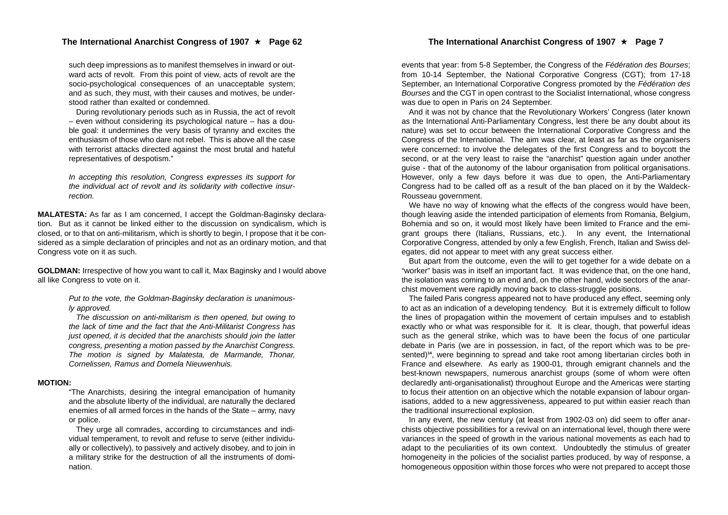#### The International Anarchist Congress of 1907 ★ Page 62 **The International Anarchist Congress of 1907** ★ Page 7

such deep impressions as to manifest themselves in inward or outward acts of revolt. From this point of view, acts of revolt are the socio-psychological consequences of an unacceptable system; and as such, they must, with their causes and motives, be understood rather than exalted or condemned.

During revolutionary periods such as in Russia, the act of revolt – even without considering its psychological nature – has a double goal: it undermines the very basis of tyranny and excites the enthusiasm of those who dare not rebel. This is above all the case with terrorist attacks directed against the most brutal and hateful representatives of despotism."

*In accepting this resolution, Congress expresses its support for the individual act of revolt and its solidarity with collective insurrection.*

**MALATESTA:** As far as I am concerned, I accept the Goldman-Baginsky declaration. But as it cannot be linked either to the discussion on syndicalism, which is closed, or to that on anti-militarism, which is shortly to begin, I propose that it be considered as a simple declaration of principles and not as an ordinary motion, and that Congress vote on it as such.

**GOLDMAN:** Irrespective of how you want to call it, Max Baginsky and I would above all like Congress to vote on it.

> *Put to the vote, the Goldman-Baginsky declaration is unanimously approved.*

> *The discussion on anti-militarism is then opened, but owing to the lack of time and the fact that the Anti-Militarist Congress has just opened, it is decided that the anarchists should join the latter congress, presenting a motion passed by the Anarchist Congress. The motion is signed by Malatesta, de Marmande, Thonar, Cornelissen, Ramus and Domela Nieuwenhuis.*

#### **MOTION:**

"The Anarchists, desiring the integral emancipation of humanity and the absolute liberty of the individual, are naturally the declared enemies of all armed forces in the hands of the State – army, navy or police.

They urge all comrades, according to circumstances and individual temperament, to revolt and refuse to serve (either individually or collectively), to passively and actively disobey, and to join in a military strike for the destruction of all the instruments of domination.

events that year: from 5-8 September, the Congress of the *Fédération des Bourses*; from 10-14 September, the National Corporative Congress (CGT); from 17-18 September, an International Corporative Congress promoted by the *Fédération des Bourses* and the CGT in open contrast to the Socialist International, whose congress was due to open in Paris on 24 September.

And it was not by chance that the Revolutionary Workers' Congress (later known as the International Anti-Parliamentary Congress, lest there be any doubt about its nature) was set to occur between the International Corporative Congress and the Congress of the International. The aim was clear, at least as far as the organisers were concerned: to involve the delegates of the first Congress and to boycott the second, or at the very least to raise the "anarchist" question again under another guise - that of the autonomy of the labour organisation from political organisations. However, only a few days before it was due to open, the Anti-Parliamentary Congress had to be called off as a result of the ban placed on it by the Waldeck-Rousseau government.

We have no way of knowing what the effects of the congress would have been, though leaving aside the intended participation of elements from Romania, Belgium, Bohemia and so on, it would most likely have been limited to France and the emigrant groups there (Italians, Russians, etc.). In any event, the International Corporative Congress, attended by only a few English, French, Italian and Swiss delegates, did not appear to meet with any great success either.

But apart from the outcome, even the will to get together for a wide debate on a "worker" basis was in itself an important fact. It was evidence that, on the one hand, the isolation was coming to an end and, on the other hand, wide sectors of the anarchist movement were rapidly moving back to class-struggle positions.

The failed Paris congress appeared not to have produced any effect, seeming only to act as an indication of a developing tendency. But it is extremely difficult to follow the lines of propagation within the movement of certain impulses and to establish exactly who or what was responsible for it. It is clear, though, that powerful ideas such as the general strike, which was to have been the focus of one particular debate in Paris (we are in possession, in fact, of the report which was to be presented)**<sup>14</sup>**, were beginning to spread and take root among libertarian circles both in France and elsewhere. As early as 1900-01, through emigrant channels and the best-known newspapers, numerous anarchist groups (some of whom were often declaredly anti-organisationalist) throughout Europe and the Americas were starting to focus their attention on an objective which the notable expansion of labour organisations, added to a new aggressiveness, appeared to put within easier reach than the traditional insurrectional explosion.

In any event, the new century (at least from 1902-03 on) did seem to offer anarchists objective possibilities for a revival on an international level, though there were variances in the speed of growth in the various national movements as each had to adapt to the peculiarities of its own context. Undoubtedly the stimulus of greater homogeneity in the policies of the socialist parties produced, by way of response, a homogeneous opposition within those forces who were not prepared to accept those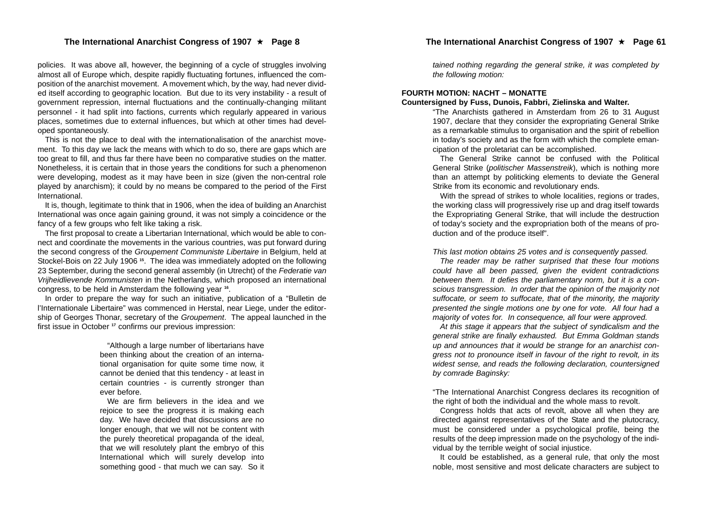policies. It was above all, however, the beginning of a cycle of struggles involving almost all of Europe which, despite rapidly fluctuating fortunes, influenced the composition of the anarchist movement. A movement which, by the way, had never divided itself according to geographic location. But due to its very instability - a result of government repression, internal fluctuations and the continually-changing militant personnel - it had split into factions, currents which regularly appeared in various places, sometimes due to external influences, but which at other times had developed spontaneously.

This is not the place to deal with the internationalisation of the anarchist movement. To this day we lack the means with which to do so, there are gaps which are too great to fill, and thus far there have been no comparative studies on the matter. Nonetheless, it is certain that in those years the conditions for such a phenomenon were developing, modest as it may have been in size (given the non-central role played by anarchism); it could by no means be compared to the period of the First International.

It is, though, legitimate to think that in 1906, when the idea of building an Anarchist International was once again gaining ground, it was not simply a coincidence or the fancy of a few groups who felt like taking a risk.

The first proposal to create a Libertarian International, which would be able to connect and coordinate the movements in the various countries, was put forward during the second congress of the *Groupement Communiste Libertaire* in Belgium, held at Stockel-Bois on 22 July 1906 **15**. The idea was immediately adopted on the following 23 September, during the second general assembly (in Utrecht) of the *Federatie van Vrijheidlievende Kommunisten* in the Netherlands, which proposed an international congress, to be held in Amsterdam the following year **<sup>16</sup>**.

In order to prepare the way for such an initiative, publication of a "Bulletin de l'Internationale Libertaire" was commenced in Herstal, near Liege, under the editorship of Georges Thonar, secretary of the *Groupement*. The appeal launched in the first issue in October **<sup>17</sup>** confirms our previous impression:

> "Although a large number of libertarians have been thinking about the creation of an international organisation for quite some time now, it cannot be denied that this tendency - at least in certain countries - is currently stronger than ever before.

> We are firm believers in the idea and we rejoice to see the progress it is making each day. We have decided that discussions are no longer enough, that we will not be content with the purely theoretical propaganda of the ideal, that we will resolutely plant the embryo of this International which will surely develop into something good - that much we can say. So it

*tained nothing regarding the general strike, it was completed by the following motion:*

#### **FOURTH MOTION: NACHT – MONATTE**

#### **Countersigned by Fuss, Dunois, Fabbri, Zielinska and Walter.**

"The Anarchists gathered in Amsterdam from 26 to 31 August 1907, declare that they consider the expropriating General Strike as a remarkable stimulus to organisation and the spirit of rebellion in today's society and as the form with which the complete emancipation of the proletariat can be accomplished.

The General Strike cannot be confused with the Political General Strike (*politischer Massenstreik*), which is nothing more than an attempt by politicking elements to deviate the General Strike from its economic and revolutionary ends.

With the spread of strikes to whole localities, regions or trades, the working class will progressively rise up and drag itself towards the Expropriating General Strike, that will include the destruction of today's society and the expropriation both of the means of production and of the produce itself".

*This last motion obtains 25 votes and is consequently passed.*

*The reader may be rather surprised that these four motions could have all been passed, given the evident contradictions between them. It defies the parliamentary norm, but it is a conscious transgression. In order that the opinion of the majority not suffocate, or seem to suffocate, that of the minority, the majority presented the single motions one by one for vote. All four had a majority of votes for. In consequence, all four were approved.*

*At this stage it appears that the subject of syndicalism and the general strike are finally exhausted. But Emma Goldman stands up and announces that it would be strange for an anarchist congress not to pronounce itself in favour of the right to revolt, in its widest sense, and reads the following declaration, countersigned by comrade Baginsky:*

"The International Anarchist Congress declares its recognition of the right of both the individual and the whole mass to revolt.

Congress holds that acts of revolt, above all when they are directed against representatives of the State and the plutocracy, must be considered under a psychological profile, being the results of the deep impression made on the psychology of the individual by the terrible weight of social injustice.

It could be established, as a general rule, that only the most noble, most sensitive and most delicate characters are subject to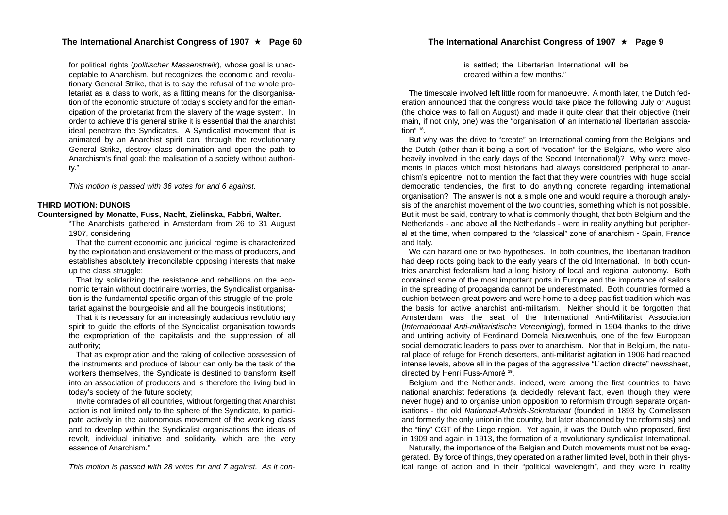for political rights (*politischer Massenstreik*), whose goal is unacceptable to Anarchism, but recognizes the economic and revolutionary General Strike, that is to say the refusal of the whole proletariat as a class to work, as a fitting means for the disorganisation of the economic structure of today's society and for the emancipation of the proletariat from the slavery of the wage system. In order to achieve this general strike it is essential that the anarchist ideal penetrate the Syndicates. A Syndicalist movement that is animated by an Anarchist spirit can, through the revolutionary General Strike, destroy class domination and open the path to Anarchism's final goal: the realisation of a society without authority."

*This motion is passed with 36 votes for and 6 against.*

#### **THIRD MOTION: DUNOIS**

#### **Countersigned by Monatte, Fuss, Nacht, Zielinska, Fabbri, Walter.**

"The Anarchists gathered in Amsterdam from 26 to 31 August 1907, considering

That the current economic and juridical regime is characterized by the exploitation and enslavement of the mass of producers, and establishes absolutely irreconcilable opposing interests that make up the class struggle;

That by solidarizing the resistance and rebellions on the economic terrain without doctrinaire worries, the Syndicalist organisation is the fundamental specific organ of this struggle of the proletariat against the bourgeoisie and all the bourgeois institutions;

That it is necessary for an increasingly audacious revolutionary spirit to guide the efforts of the Syndicalist organisation towards the expropriation of the capitalists and the suppression of all authority;

That as expropriation and the taking of collective possession of the instruments and produce of labour can only be the task of the workers themselves, the Syndicate is destined to transform itself into an association of producers and is therefore the living bud in today's society of the future society;

Invite comrades of all countries, without forgetting that Anarchist action is not limited only to the sphere of the Syndicate, to participate actively in the autonomous movement of the working class and to develop within the Syndicalist organisations the ideas of revolt, individual initiative and solidarity, which are the very essence of Anarchism."

*This motion is passed with 28 votes for and 7 against. As it con-*

is settled; the Libertarian International will be created within a few months."

The timescale involved left little room for manoeuvre. A month later, the Dutch fed eration announced that the congress would take place the following July or August (the choice was to fall on August) and made it quite clear that their objective (their main, if not only, one) was the "organisation of an international libertarian associa tion" **<sup>18</sup>**.

But why was the drive to "create" an International coming from the Belgians and the Dutch (other than it being a sort of "vocation" for the Belgians, who were also heavily involved in the early days of the Second International)? Why were move ments in places which most historians had always considered peripheral to anar chism's epicentre, not to mention the fact that they were countries with huge social democratic tendencies, the first to do anything concrete regarding international organisation? The answer is not a simple one and would require a thorough analy sis of the anarchist movement of the two countries, something which is not possible. But it must be said, contrary to what is commonly thought, that both Belgium and the Netherlands - and above all the Netherlands - were in reality anything but peripher al at the time, when compared to the "classical" zone of anarchism - Spain, France and Italy.

We can hazard one or two hypotheses. In both countries, the libertarian tradition had deep roots going back to the early years of the old International. In both coun tries anarchist federalism had a long history of local and regional autonomy. Both contained some of the most important ports in Europe and the importance of sailors in the spreading of propaganda cannot be underestimated. Both countries formed a cushion between great powers and were home to a deep pacifist tradition which was the basis for active anarchist anti-militarism. Neither should it be forgotten that Amsterdam was the seat of the International Anti-Militarist Association (*Internationaal Anti-militaristische Vereeniging*), formed in 1904 thanks to the drive and untiring activity of Ferdinand Domela Nieuwenhuis, one of the few European social democratic leaders to pass over to anarchism. Nor that in Belgium, the natu ral place of refuge for French deserters, anti-militarist agitation in 1906 had reached intense levels, above all in the pages of the aggressive "L'action directe" newssheet, directed by Henri Fuss-Amoré **<sup>19</sup>**.

Belgium and the Netherlands, indeed, were among the first countries to have national anarchist federations (a decidedly relevant fact, even though they were never huge) and to organise union opposition to reformism through separate organ isations - the old *Nationaal-Arbeids-Sekretariaat* (founded in 1893 by Cornelissen and formerly the only union in the country, but later abandoned by the reformists) and the "tiny" CGT of the Liege region. Yet again, it was the Dutch who proposed, first in 1909 and again in 1913, the formation of a revolutionary syndicalist International.

Naturally, the importance of the Belgian and Dutch movements must not be exag gerated. By force of things, they operated on a rather limited level, both in their phys ical range of action and in their "political wavelength", and they were in reality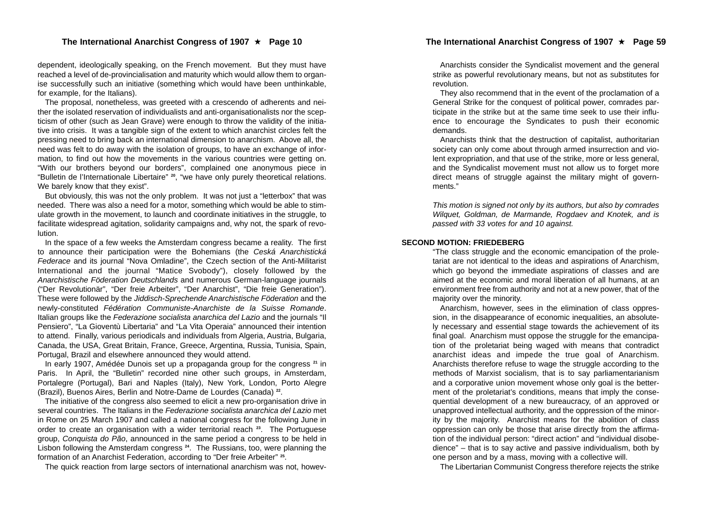#### ★ Page 10 The International Anarchist Congress of 1907 ★ Page 59

#### **The International Anarchist Congress of 1907**

dependent, ideologically speaking, on the French movement. But they must have reached a level of de-provincialisation and maturity which would allow them to organise successfully such an initiative (something which would have been unthinkable, for example, for the Italians).

The proposal, nonetheless, was greeted with a crescendo of adherents and neither the isolated reservation of individualists and anti-organisationalists nor the scepticism of other (such as Jean Grave) were enough to throw the validity of the initiative into crisis. It was a tangible sign of the extent to which anarchist circles felt the pressing need to bring back an international dimension to anarchism. Above all, the need was felt to do away with the isolation of groups, to have an exchange of information, to find out how the movements in the various countries were getting on. "With our brothers beyond our borders", complained one anonymous piece in "Bulletin de l'Internationale Libertaire" **<sup>20</sup>**, "we have only purely theoretical relations. We barely know that they exist".

But obviously, this was not the only problem. It was not just a "letterbox" that was needed. There was also a need for a motor, something which would be able to stimulate growth in the movement, to launch and coordinate initiatives in the struggle, to facilitate widespread agitation, solidarity campaigns and, why not, the spark of revolution.

In the space of a few weeks the Amsterdam congress became a reality. The first to announce their participation were the Bohemians (the *Ceská Anarchistická Federace* and its journal "Nova Omladine", the Czech section of the Anti-Militarist International and the journal "Matice Svobody"), closely followed by the *Anarchistische Föderation Deutschlands* and numerous German-language journals ("Der Revolutionär", "Der freie Arbeiter", "Der Anarchist", "Die freie Generation"). These were followed by the *Jiddisch-Sprechende Anarchistische Föderation* and the newly-constituted *Fédération Communiste-Anarchiste de la Suisse Romande*. Italian groups like the *Federazione socialista anarchica del Lazio* and the journals "Il Pensiero", "La Gioventù Libertaria" and "La Vita Operaia" announced their intention to attend. Finally, various periodicals and individuals from Algeria, Austria, Bulgaria, Canada, the USA, Great Britain, France, Greece, Argentina, Russia, Tunisia, Spain, Portugal, Brazil and elsewhere announced they would attend.

In early 1907, Amédée Dunois set up a propaganda group for the congress **<sup>21</sup>** in Paris. In April, the "Bulletin" recorded nine other such groups, in Amsterdam, Portalegre (Portugal), Bari and Naples (Italy), New York, London, Porto Alegre (Brazil), Buenos Aires, Berlin and Notre-Dame de Lourdes (Canada) **<sup>22</sup>**.

The initiative of the congress also seemed to elicit a new pro-organisation drive in several countries. The Italians in the *Federazione socialista anarchica del Lazio* met in Rome on 25 March 1907 and called a national congress for the following June in order to create an organisation with a wider territorial reach **<sup>23</sup>**. The Portuguese group, *Conquista do Pão*, announced in the same period a congress to be held in Lisbon following the Amsterdam congress **<sup>24</sup>**. The Russians, too, were planning the formation of an Anarchist Federation, according to "Der freie Arbeiter" **<sup>25</sup>**.

The quick reaction from large sectors of international anarchism was not, howev-

Anarchists consider the Syndicalist movement and the general strike as powerful revolutionary means, but not as substitutes for revolution.

They also recommend that in the event of the proclamation of a General Strike for the conquest of political power, comrades par ticipate in the strike but at the same time seek to use their influ ence to encourage the Syndicates to push their economic demands.

Anarchists think that the destruction of capitalist, authoritarian society can only come about through armed insurrection and violent expropriation, and that use of the strike, more or less general, and the Syndicalist movement must not allow us to forget more direct means of struggle against the military might of govern ments."

*This motion is signed not only by its authors, but also by comrades Wilquet, Goldman, de Marmande, Rogdaev and Knotek, and is passed with 33 votes for and 10 against.*

#### **SECOND MOTION: FRIEDEBERG**

"The class struggle and the economic emancipation of the prole tariat are not identical to the ideas and aspirations of Anarchism, which go beyond the immediate aspirations of classes and are aimed at the economic and moral liberation of all humans, at an environment free from authority and not at a new power, that of the majority over the minority.

Anarchism, however, sees in the elimination of class oppres sion, in the disappearance of economic inequalities, an absolute ly necessary and essential stage towards the achievement of its final goal. Anarchism must oppose the struggle for the emancipa tion of the proletariat being waged with means that contradict anarchist ideas and impede the true goal of Anarchism. Anarchists therefore refuse to wage the struggle according to the methods of Marxist socialism, that is to say parliamentarianism and a corporative union movement whose only goal is the better ment of the proletariat's conditions, means that imply the conse quential development of a new bureaucracy, of an approved or unapproved intellectual authority, and the oppression of the minor ity by the majority. Anarchist means for the abolition of class oppression can only be those that arise directly from the affirma tion of the individual person: "direct action" and "individual disobe dience" – that is to say active and passive individualism, both by one person and by a mass, moving with a collective will.

The Libertarian Communist Congress therefore rejects the strike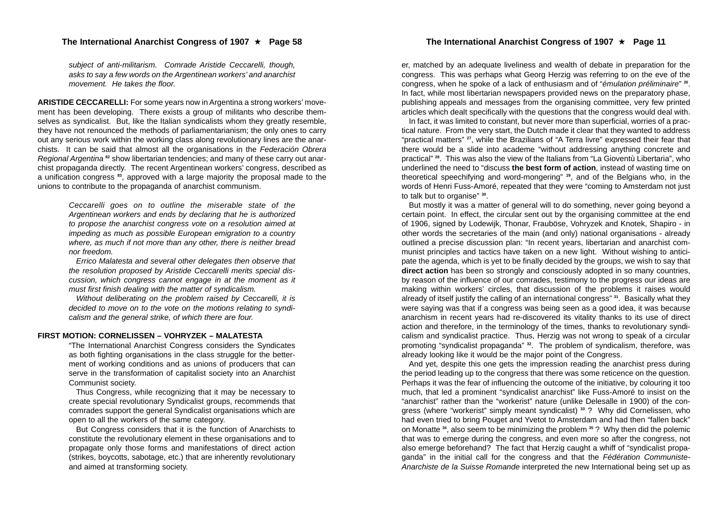#### The International Anarchist Congress of 1907 ★ Page 58 **The International Anarchist Congress of 1907** ★ Page 11

*subject of anti-militarism. Comrade Aristide Ceccarelli, though, asks to say a few words on the Argentinean workers' and anarchist movement. He takes the floor.*

**ARISTIDE CECCARELLI:** For some years now in Argentina a strong workers' movement has been developing. There exists a group of militants who describe themselves as syndicalist. But, like the Italian syndicalists whom they greatly resemble, they have not renounced the methods of parliamentarianism; the only ones to carry out any serious work within the working class along revolutionary lines are the anarchists. It can be said that almost all the organisations in the *Federación Obrera Regional Argentina* **<sup>82</sup>** show libertarian tendencies; and many of these carry out anarchist propaganda directly. The recent Argentinean workers' congress, described as a unification congress **<sup>83</sup>**, approved with a large majority the proposal made to the unions to contribute to the propaganda of anarchist communism.

> *Ceccarelli goes on to outline the miserable state of the Argentinean workers and ends by declaring that he is authorized to propose the anarchist congress vote on a resolution aimed at impeding as much as possible European emigration to a country where, as much if not more than any other, there is neither bread nor freedom.*

> *Errico Malatesta and several other delegates then observe that the resolution proposed by Aristide Ceccarelli merits special discussion, which congress cannot engage in at the moment as it must first finish dealing with the matter of syndicalism.*

> *Without deliberating on the problem raised by Ceccarelli, it is decided to move on to the vote on the motions relating to syndicalism and the general strike, of which there are four.*

#### **FIRST MOTION: CORNELISSEN – VOHRYZEK – MALATESTA**

"The International Anarchist Congress considers the Syndicates as both fighting organisations in the class struggle for the betterment of working conditions and as unions of producers that can serve in the transformation of capitalist society into an Anarchist Communist society.

Thus Congress, while recognizing that it may be necessary to create special revolutionary Syndicalist groups, recommends that comrades support the general Syndicalist organisations which are open to all the workers of the same category.

But Congress considers that it is the function of Anarchists to constitute the revolutionary element in these organisations and to propagate only those forms and manifestations of direct action (strikes, boycotts, sabotage, etc.) that are inherently revolutionary and aimed at transforming society.

er, matched by an adequate liveliness and wealth of debate in preparation for the congress. This was perhaps what Georg Herzig was referring to on the eve of the congress, when he spoke of a lack of enthusiasm and of "*émulation préliminaire*" **<sup>26</sup>**. In fact, while most libertarian newspapers provided news on the preparatory phase, publishing appeals and messages from the organising committee, very few printed articles which dealt specifically with the questions that the congress would deal with.

In fact, it was limited to constant, but never more than superficial, worries of a practical nature. From the very start, the Dutch made it clear that they wanted to address "practical matters" **<sup>27</sup>**, while the Brazilians of "A Terra livre" expressed their fear that there would be a slide into academe "without addressing anything concrete and practical" **<sup>28</sup>**. This was also the view of the Italians from "La Gioventù Libertaria", who underlined the need to "discuss **the best form of action**, instead of wasting time on theoretical speechifying and word-mongering" **<sup>29</sup>**, and of the Belgians who, in the words of Henri Fuss-Amoré, repeated that they were "coming to Amsterdam not just to talk but to organise" **<sup>30</sup>**.

But mostly it was a matter of general will to do something, never going beyond a certain point. In effect, the circular sent out by the organising committee at the end of 1906, signed by Lodewijk, Thonar, Frauböse, Vohryzek and Knotek, Shapiro - in other words the secretaries of the main (and only) national organisations - already outlined a precise discussion plan: "In recent years, libertarian and anarchist communist principles and tactics have taken on a new light. Without wishing to anticipate the agenda, which is yet to be finally decided by the groups, we wish to say that **direct action** has been so strongly and consciously adopted in so many countries, by reason of the influence of our comrades, testimony to the progress our ideas are making within workers' circles, that discussion of the problems it raises would already of itself justify the calling of an international congress" **<sup>31</sup>**. Basically what they were saying was that if a congress was being seen as a good idea, it was because anarchism in recent years had re-discovered its vitality thanks to its use of direct action and therefore, in the terminology of the times, thanks to revolutionary syndicalism and syndicalist practice. Thus, Herzig was not wrong to speak of a circular promoting "syndicalist propaganda" **32**. The problem of syndicalism, therefore, was already looking like it would be the major point of the Congress.

And yet, despite this one gets the impression reading the anarchist press during the period leading up to the congress that there was some reticence on the question. Perhaps it was the fear of influencing the outcome of the initiative, by colouring it too much, that led a prominent "syndicalist anarchist" like Fuss-Amoré to insist on the "anarchist" rather than the "workerist" nature (unlike Delesalle in 1900) of the congress (where "workerist" simply meant syndicalist) **<sup>33</sup>** ? Why did Cornelissen, who had even tried to bring Pouget and Yvetot to Amsterdam and had then "fallen back" on Monatte **<sup>34</sup>**, also seem to be minimizing the problem **<sup>35</sup>** ? Why then did the polemic that was to emerge during the congress, and even more so after the congress, not also emerge beforehand? The fact that Herzig caught a whiff of "syndicalist propaganda" in the initial call for the congress and that the *Fédération Communiste-Anarchiste de la Suisse Romande* interpreted the new International being set up as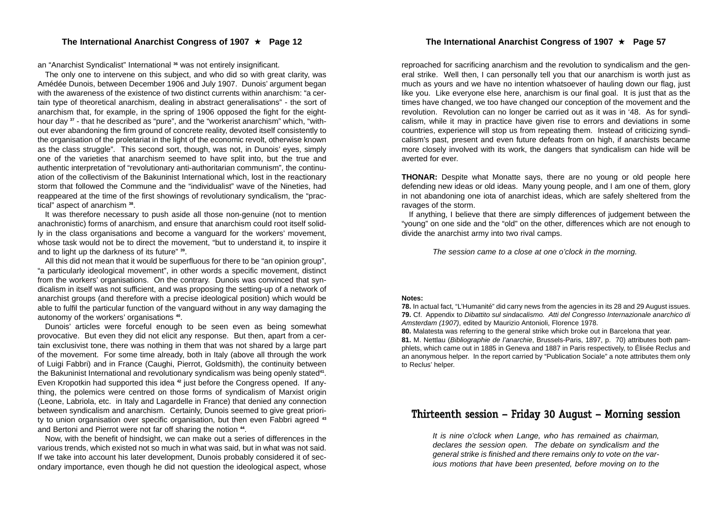#### **The International Anarchist Congress of 1907**

an "Anarchist Syndicalist" International **<sup>36</sup>** was not entirely insignificant.

The only one to intervene on this subject, and who did so with great clarity, was Amédée Dunois, between December 1906 and July 1907. Dunois' argument began with the awareness of the existence of two distinct currents within anarchism: "a certain type of theoretical anarchism, dealing in abstract generalisations" - the sort of anarchism that, for example, in the spring of 1906 opposed the fight for the eighthour day **<sup>37</sup>** - that he described as "pure", and the "workerist anarchism" which, "without ever abandoning the firm ground of concrete reality, devoted itself consistently to the organisation of the proletariat in the light of the economic revolt, otherwise known as the class struggle". This second sort, though, was not, in Dunois' eyes, simply one of the varieties that anarchism seemed to have split into, but the true and authentic interpretation of "revolutionary anti-authoritarian communism", the continuation of the collectivism of the Bakuninist International which, lost in the reactionary storm that followed the Commune and the "individualist" wave of the Nineties, had reappeared at the time of the first showings of revolutionary syndicalism, the "practical" aspect of anarchism **<sup>38</sup>**.

It was therefore necessary to push aside all those non-genuine (not to mention anachronistic) forms of anarchism, and ensure that anarchism could root itself solidly in the class organisations and become a vanguard for the workers' movement, whose task would not be to direct the movement, "but to understand it, to inspire it and to light up the darkness of its future" **<sup>39</sup>**.

All this did not mean that it would be superfluous for there to be "an opinion group", "a particularly ideological movement", in other words a specific movement, distinct from the workers' organisations. On the contrary. Dunois was convinced that syndicalism in itself was not sufficient, and was proposing the setting-up of a network of anarchist groups (and therefore with a precise ideological position) which would be able to fulfil the particular function of the vanguard without in any way damaging the autonomy of the workers' organisations **<sup>40</sup>**.

Dunois' articles were forceful enough to be seen even as being somewhat provocative. But even they did not elicit any response. But then, apart from a certain exclusivist tone, there was nothing in them that was not shared by a large part of the movement. For some time already, both in Italy (above all through the work of Luigi Fabbri) and in France (Caughi, Pierrot, Goldsmith), the continuity between the Bakuninist International and revolutionary syndicalism was being openly stated**<sup>41</sup>**. Even Kropotkin had supported this idea **<sup>42</sup>** just before the Congress opened. If anything, the polemics were centred on those forms of syndicalism of Marxist origin (Leone, Labriola, etc. in Italy and Lagardelle in France) that denied any connection between syndicalism and anarchism. Certainly, Dunois seemed to give great priority to union organisation over specific organisation, but then even Fabbri agreed **<sup>43</sup>** and Bertoni and Pierrot were not far off sharing the notion **<sup>44</sup>**.

Now, with the benefit of hindsight, we can make out a series of differences in the various trends, which existed not so much in what was said, but in what was not said. If we take into account his later development, Dunois probably considered it of secondary importance, even though he did not question the ideological aspect, whose

reproached for sacrificing anarchism and the revolution to syndicalism and the general strike. Well then, I can personally tell you that our anarchism is worth just as much as yours and we have no intention whatsoever of hauling down our flag, just like you. Like everyone else here, anarchism is our final goal. It is just that as the times have changed, we too have changed our conception of the movement and the revolution. Revolution can no longer be carried out as it was in '48. As for syndicalism, while it may in practice have given rise to errors and deviations in some countries, experience will stop us from repeating them. Instead of criticizing syndicalism's past, present and even future defeats from on high, if anarchists became more closely involved with its work, the dangers that syndicalism can hide will be averted for ever.

**THONAR:** Despite what Monatte says, there are no young or old people here defending new ideas or old ideas. Many young people, and I am one of them, glory in not abandoning one iota of anarchist ideas, which are safely sheltered from the ravages of the storm.

If anything, I believe that there are simply differences of judgement between the "young" on one side and the "old" on the other, differences which are not enough to divide the anarchist army into two rival camps.

*The session came to a close at one o'clock in the morning.*

#### **Notes:**

**78.** In actual fact, "L'Humanité" did carry news from the agencies in its 28 and 29 August issues. **79.** Cf. Appendix to *Dibattito sul sindacalismo. Atti del Congresso Internazionale anarchico di Amsterdam (1907)*, edited by Maurizio Antonioli, Florence 1978.

**80.** Malatesta was referring to the general strike which broke out in Barcelona that year. **81.** M. Nettlau (*Bibliographie de l'anarchie*, Brussels-Paris, 1897, p. 70) attributes both pamphlets, which came out in 1885 in Geneva and 1887 in Paris respectively, to Élisée Reclus and an anonymous helper. In the report carried by "Publication Sociale" a note attributes them only to Reclus' helper.

### Thirteenth session – Friday 30 August – Morning session

*It is nine o'clock when Lange, who has remained as chairman, declares the session open. The debate on syndicalism and the general strike is finished and there remains only to vote on the various motions that have been presented, before moving on to the*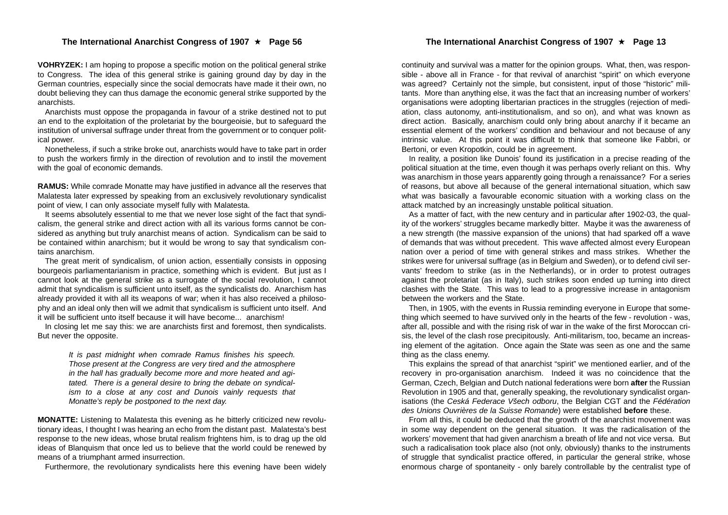#### ★ Page 56 The International Anarchist Congress of 1907 ★ Page 13

#### **The International Anarchist Congress of 1907**

**VOHRYZEK:** I am hoping to propose a specific motion on the political general strike to Congress. The idea of this general strike is gaining ground day by day in the German countries, especially since the social democrats have made it their own, no doubt believing they can thus damage the economic general strike supported by the anarchists.

Anarchists must oppose the propaganda in favour of a strike destined not to put an end to the exploitation of the proletariat by the bourgeoisie, but to safeguard the institution of universal suffrage under threat from the government or to conquer political power.

Nonetheless, if such a strike broke out, anarchists would have to take part in order to push the workers firmly in the direction of revolution and to instil the movement with the goal of economic demands.

**RAMUS:** While comrade Monatte may have justified in advance all the reserves that Malatesta later expressed by speaking from an exclusively revolutionary syndicalist point of view, I can only associate myself fully with Malatesta.

It seems absolutely essential to me that we never lose sight of the fact that syndicalism, the general strike and direct action with all its various forms cannot be considered as anything but truly anarchist means of action. Syndicalism can be said to be contained within anarchism; but it would be wrong to say that syndicalism contains anarchism.

The great merit of syndicalism, of union action, essentially consists in opposing bourgeois parliamentarianism in practice, something which is evident. But just as I cannot look at the general strike as a surrogate of the social revolution, I cannot admit that syndicalism is sufficient unto itself, as the syndicalists do. Anarchism has already provided it with all its weapons of war; when it has also received a philosophy and an ideal only then will we admit that syndicalism is sufficient unto itself. And it will be sufficient unto itself because it will have become... anarchism!

In closing let me say this: we are anarchists first and foremost, then syndicalists. But never the opposite.

> *It is past midnight when comrade Ramus finishes his speech. Those present at the Congress are very tired and the atmosphere in the hall has gradually become more and more heated and agitated. There is a general desire to bring the debate on syndicalism to a close at any cost and Dunois vainly requests that Monatte's reply be postponed to the next day.*

**MONATTE:** Listening to Malatesta this evening as he bitterly criticized new revolutionary ideas, I thought I was hearing an echo from the distant past. Malatesta's best response to the new ideas, whose brutal realism frightens him, is to drag up the old ideas of Blanquism that once led us to believe that the world could be renewed by means of a triumphant armed insurrection.

Furthermore, the revolutionary syndicalists here this evening have been widely

continuity and survival was a matter for the opinion groups. What, then, was responsible - above all in France - for that revival of anarchist "spirit" on which everyone was agreed? Certainly not the simple, but consistent, input of those "historic" militants. More than anything else, it was the fact that an increasing number of workers' organisations were adopting libertarian practices in the struggles (rejection of mediation, class autonomy, anti-institutionalism, and so on), and what was known as direct action. Basically, anarchism could only bring about anarchy if it became an essential element of the workers' condition and behaviour and not because of any intrinsic value. At this point it was difficult to think that someone like Fabbri, or Bertoni, or even Kropotkin, could be in agreement.

In reality, a position like Dunois' found its justification in a precise reading of the political situation at the time, even though it was perhaps overly reliant on this. Why was anarchism in those years apparently going through a renaissance? For a series of reasons, but above all because of the general international situation, which saw what was basically a favourable economic situation with a working class on the attack matched by an increasingly unstable political situation.

As a matter of fact, with the new century and in particular after 1902-03, the quality of the workers' struggles became markedly bitter. Maybe it was the awareness of a new strength (the massive expansion of the unions) that had sparked off a wave of demands that was without precedent. This wave affected almost every European nation over a period of time with general strikes and mass strikes. Whether the strikes were for universal suffrage (as in Belgium and Sweden), or to defend civil servants' freedom to strike (as in the Netherlands), or in order to protest outrages against the proletariat (as in Italy), such strikes soon ended up turning into direct clashes with the State. This was to lead to a progressive increase in antagonism between the workers and the State.

Then, in 1905, with the events in Russia reminding everyone in Europe that something which seemed to have survived only in the hearts of the few - revolution - was, after all, possible and with the rising risk of war in the wake of the first Moroccan crisis, the level of the clash rose precipitously. Anti-militarism, too, became an increasing element of the agitation. Once again the State was seen as one and the same thing as the class enemy.

This explains the spread of that anarchist "spirit" we mentioned earlier, and of the recovery in pro-organisation anarchism. Indeed it was no coincidence that the German, Czech, Belgian and Dutch national federations were born **after** the Russian Revolution in 1905 and that, generally speaking, the revolutionary syndicalist organisations (the *Ceská Federace Všech odboru*, the Belgian CGT and the *Fédération des Unions Ouvrières de la Suisse Romande*) were established **before** these.

From all this, it could be deduced that the growth of the anarchist movement was in some way dependent on the general situation. It was the radicalisation of the workers' movement that had given anarchism a breath of life and not vice versa. But such a radicalisation took place also (not only, obviously) thanks to the instruments of struggle that syndicalist practice offered, in particular the general strike, whose enormous charge of spontaneity - only barely controllable by the centralist type of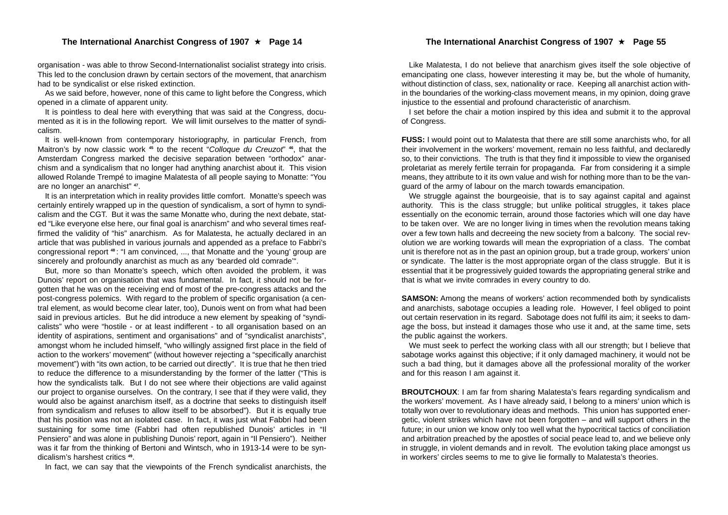organisation - was able to throw Second-Internationalist socialist strategy into crisis. This led to the conclusion drawn by certain sectors of the movement, that anarchism had to be syndicalist or else risked extinction.

As we said before, however, none of this came to light before the Congress, which opened in a climate of apparent unity.

It is pointless to deal here with everything that was said at the Congress, documented as it is in the following report. We will limit ourselves to the matter of syndicalism.

It is well-known from contemporary historiography, in particular French, from Maitron's by now classic work **<sup>45</sup>** to the recent "*Colloque du Creuzot*" **<sup>46</sup>**, that the Amsterdam Congress marked the decisive separation between "orthodox" anarchism and a syndicalism that no longer had anything anarchist about it. This vision allowed Rolande Trempé to imagine Malatesta of all people saying to Monatte: "You are no longer an anarchist" **<sup>47</sup>**.

It is an interpretation which in reality provides little comfort. Monatte's speech was certainly entirely wrapped up in the question of syndicalism, a sort of hymn to syndicalism and the CGT. But it was the same Monatte who, during the next debate, stated "Like everyone else here, our final goal is anarchism" and who several times reaffirmed the validity of "his" anarchism. As for Malatesta, he actually declared in an article that was published in various journals and appended as a preface to Fabbri's congressional report **<sup>48</sup>**: "I am convinced, ..., that Monatte and the 'young' group are sincerely and profoundly anarchist as much as any 'bearded old comrade'".

But, more so than Monatte's speech, which often avoided the problem, it was Dunois' report on organisation that was fundamental. In fact, it should not be forgotten that he was on the receiving end of most of the pre-congress attacks and the post-congress polemics. With regard to the problem of specific organisation (a central element, as would become clear later, too), Dunois went on from what had been said in previous articles. But he did introduce a new element by speaking of "syndicalists" who were "hostile - or at least indifferent - to all organisation based on an identity of aspirations, sentiment and organisations" and of "syndicalist anarchists", amongst whom he included himself, "who willingly assigned first place in the field of action to the workers' movement" (without however rejecting a "specifically anarchist movement") with "its own action, to be carried out directly". It is true that he then tried to reduce the difference to a misunderstanding by the former of the latter ("This is how the syndicalists talk. But I do not see where their objections are valid against our project to organise ourselves. On the contrary, I see that if they were valid, they would also be against anarchism itself, as a doctrine that seeks to distinguish itself from syndicalism and refuses to allow itself to be absorbed"). But it is equally true that his position was not an isolated case. In fact, it was just what Fabbri had been sustaining for some time (Fabbri had often republished Dunois' articles in "Il Pensiero" and was alone in publishing Dunois' report, again in "Il Pensiero"). Neither was it far from the thinking of Bertoni and Wintsch, who in 1913-14 were to be syndicalism's harshest critics **<sup>49</sup>**.

In fact, we can say that the viewpoints of the French syndicalist anarchists, the

#### The International Anarchist Congress of 1907 ★ Page 55

Like Malatesta, I do not believe that anarchism gives itself the sole objective of emancipating one class, however interesting it may be, but the whole of humanity, without distinction of class, sex, nationality or race. Keeping all anarchist action within the boundaries of the working-class movement means, in my opinion, doing grave injustice to the essential and profound characteristic of anarchism.

I set before the chair a motion inspired by this idea and submit it to the approval of Congress.

**FUSS:** I would point out to Malatesta that there are still some anarchists who, for all their involvement in the workers' movement, remain no less faithful, and declaredly so, to their convictions. The truth is that they find it impossible to view the organised proletariat as merely fertile terrain for propaganda. Far from considering it a simple means, they attribute to it its own value and wish for nothing more than to be the vanguard of the army of labour on the march towards emancipation.

We struggle against the bourgeoisie, that is to say against capital and against authority. This is the class struggle; but unlike political struggles, it takes place essentially on the economic terrain, around those factories which will one day have to be taken over. We are no longer living in times when the revolution means taking over a few town halls and decreeing the new society from a balcony. The social revolution we are working towards will mean the expropriation of a class. The combat unit is therefore not as in the past an opinion group, but a trade group, workers' union or syndicate. The latter is the most appropriate organ of the class struggle. But it is essential that it be progressively guided towards the appropriating general strike and that is what we invite comrades in every country to do.

**SAMSON:** Among the means of workers' action recommended both by syndicalists and anarchists, sabotage occupies a leading role. However, I feel obliged to point out certain reservation in its regard. Sabotage does not fulfil its aim; it seeks to damage the boss, but instead it damages those who use it and, at the same time, sets the public against the workers.

We must seek to perfect the working class with all our strength; but I believe that sabotage works against this objective; if it only damaged machinery, it would not be such a bad thing, but it damages above all the professional morality of the worker and for this reason I am against it.

**BROUTCHOUX:** I am far from sharing Malatesta's fears regarding syndicalism and the workers' movement. As I have already said, I belong to a miners' union which is totally won over to revolutionary ideas and methods. This union has supported energetic, violent strikes which have not been forgotten – and will support others in the future; in our union we know only too well what the hypocritical tactics of conciliation and arbitration preached by the apostles of social peace lead to, and we believe only in struggle, in violent demands and in revolt. The evolution taking place amongst us in workers' circles seems to me to give lie formally to Malatesta's theories.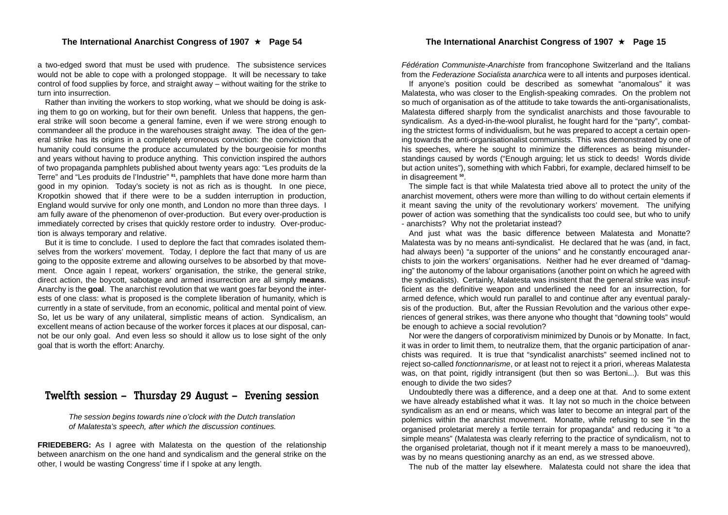#### **The International Anarchist Congress of 1907**

a two-edged sword that must be used with prudence. The subsistence services would not be able to cope with a prolonged stoppage. It will be necessary to take control of food supplies by force, and straight away – without waiting for the strike to turn into insurrection.

Rather than inviting the workers to stop working, what we should be doing is asking them to go on working, but for their own benefit. Unless that happens, the general strike will soon become a general famine, even if we were strong enough to commandeer all the produce in the warehouses straight away. The idea of the general strike has its origins in a completely erroneous conviction: the conviction that humanity could consume the produce accumulated by the bourgeoisie for months and years without having to produce anything. This conviction inspired the authors of two propaganda pamphlets published about twenty years ago: "Les produits de la Terre" and "Les produits de l'Industrie" **<sup>81</sup>**, pamphlets that have done more harm than good in my opinion. Today's society is not as rich as is thought. In one piece, Kropotkin showed that if there were to be a sudden interruption in production, England would survive for only one month, and London no more than three days. I am fully aware of the phenomenon of over-production. But every over-production is immediately corrected by crises that quickly restore order to industry. Over-production is always temporary and relative.

But it is time to conclude. I used to deplore the fact that comrades isolated themselves from the workers' movement. Today, I deplore the fact that many of us are going to the opposite extreme and allowing ourselves to be absorbed by that movement. Once again I repeat, workers' organisation, the strike, the general strike, direct action, the boycott, sabotage and armed insurrection are all simply **means**. Anarchy is the **goal**. The anarchist revolution that we want goes far beyond the interests of one class: what is proposed is the complete liberation of humanity, which is currently in a state of servitude, from an economic, political and mental point of view. So, let us be wary of any unilateral, simplistic means of action. Syndicalism, an excellent means of action because of the worker forces it places at our disposal, cannot be our only goal. And even less so should it allow us to lose sight of the only goal that is worth the effort: Anarchy.

## Twelfth session – Thursday 29 August – Evening session

*The session begins towards nine o'clock with the Dutch translation of Malatesta's speech, after which the discussion continues.*

**FRIEDEBERG:** As I agree with Malatesta on the question of the relationship between anarchism on the one hand and syndicalism and the general strike on the other, I would be wasting Congress' time if I spoke at any length.

*Fédération Communiste-Anarchiste* from francophone Switzerland and the Italians from the *Federazione Socialista anarchica* were to all intents and purposes identical.

If anyone's position could be described as somewhat "anomalous" it was Malatesta, who was closer to the English-speaking comrades. On the problem not so much of organisation as of the attitude to take towards the anti-organisationalists, Malatesta differed sharply from the syndicalist anarchists and those favourable to syndicalism. As a dyed-in-the-wool pluralist, he fought hard for the "party", combating the strictest forms of individualism, but he was prepared to accept a certain opening towards the anti-organisationalist communists. This was demonstrated by one of his speeches, where he sought to minimize the differences as being misunderstandings caused by words ("Enough arguing; let us stick to deeds! Words divide but action unites"), something with which Fabbri, for example, declared himself to be in disagreement **<sup>50</sup>**.

The simple fact is that while Malatesta tried above all to protect the unity of the anarchist movement, others were more than willing to do without certain elements if it meant saving the unity of the revolutionary workers' movement. The unifying power of action was something that the syndicalists too could see, but who to unify - anarchists? Why not the proletariat instead?

And just what was the basic difference between Malatesta and Monatte? Malatesta was by no means anti-syndicalist. He declared that he was (and, in fact, had always been) "a supporter of the unions" and he constantly encouraged anarchists to join the workers' organisations. Neither had he ever dreamed of "damaging" the autonomy of the labour organisations (another point on which he agreed with the syndicalists). Certainly, Malatesta was insistent that the general strike was insufficient as the definitive weapon and underlined the need for an insurrection, for armed defence, which would run parallel to and continue after any eventual paralysis of the production. But, after the Russian Revolution and the various other experiences of general strikes, was there anyone who thought that "downing tools" would be enough to achieve a social revolution?

Nor were the dangers of corporativism minimized by Dunois or by Monatte. In fact, it was in order to limit them, to neutralize them, that the organic participation of anarchists was required. It is true that "syndicalist anarchists" seemed inclined not to reject so-called *fonctionnarisme*, or at least not to reject it a priori, whereas Malatesta was, on that point, rigidly intransigent (but then so was Bertoni...). But was this enough to divide the two sides?

Undoubtedly there was a difference, and a deep one at that. And to some extent we have already established what it was. It lay not so much in the choice between syndicalism as an end or means, which was later to become an integral part of the polemics within the anarchist movement. Monatte, while refusing to see "in the organised proletariat merely a fertile terrain for propaganda" and reducing it "to a simple means" (Malatesta was clearly referring to the practice of syndicalism, not to the organised proletariat, though not if it meant merely a mass to be manoeuvred), was by no means questioning anarchy as an end, as we stressed above.

The nub of the matter lay elsewhere. Malatesta could not share the idea that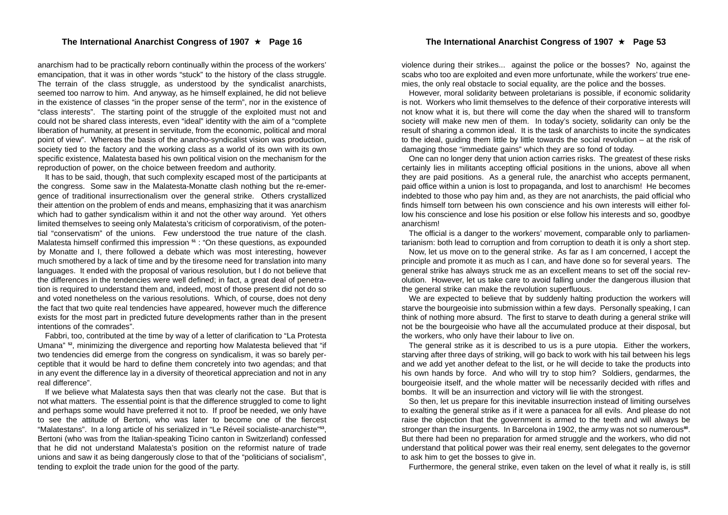anarchism had to be practically reborn continually within the process of the workers' emancipation, that it was in other words "stuck" to the history of the class struggle. The terrain of the class struggle, as understood by the syndicalist anarchists, seemed too narrow to him. And anyway, as he himself explained, he did not believe in the existence of classes "in the proper sense of the term", nor in the existence of "class interests". The starting point of the struggle of the exploited must not and could not be shared class interests, even "ideal" identity with the aim of a "complete liberation of humanity, at present in servitude, from the economic, political and moral point of view". Whereas the basis of the anarcho-syndicalist vision was production, society tied to the factory and the working class as a world of its own with its own specific existence, Malatesta based his own political vision on the mechanism for the reproduction of power, on the choice between freedom and authority.

It has to be said, though, that such complexity escaped most of the participants at the congress. Some saw in the Malatesta-Monatte clash nothing but the re-emergence of traditional insurrectionalism over the general strike. Others crystallized their attention on the problem of ends and means, emphasizing that it was anarchism which had to gather syndicalism within it and not the other way around. Yet others limited themselves to seeing only Malatesta's criticism of corporativism, of the potential "conservatism" of the unions. Few understood the true nature of the clash. Malatesta himself confirmed this impression **<sup>51</sup>** : "On these questions, as expounded by Monatte and I, there followed a debate which was most interesting, however much smothered by a lack of time and by the tiresome need for translation into many languages. It ended with the proposal of various resolution, but I do not believe that the differences in the tendencies were well defined; in fact, a great deal of penetration is required to understand them and, indeed, most of those present did not do so and voted nonetheless on the various resolutions. Which, of course, does not deny the fact that two quite real tendencies have appeared, however much the difference exists for the most part in predicted future developments rather than in the present intentions of the comrades".

Fabbri, too, contributed at the time by way of a letter of clarification to "La Protesta Umana" **<sup>52</sup>**, minimizing the divergence and reporting how Malatesta believed that "if two tendencies did emerge from the congress on syndicalism, it was so barely perceptible that it would be hard to define them concretely into two agendas; and that in any event the difference lay in a diversity of theoretical appreciation and not in any real difference".

If we believe what Malatesta says then that was clearly not the case. But that is not what matters. The essential point is that the difference struggled to come to light and perhaps some would have preferred it not to. If proof be needed, we only have to see the attitude of Bertoni, who was later to become one of the fiercest "Malatestans". In a long article of his serialized in "Le Réveil socialiste-anarchiste"**<sup>53</sup>**, Bertoni (who was from the Italian-speaking Ticino canton in Switzerland) confessed that he did not understand Malatesta's position on the reformist nature of trade unions and saw it as being dangerously close to that of the "politicians of socialism", tending to exploit the trade union for the good of the party.

violence during their strikes... against the police or the bosses? No, against the scabs who too are exploited and even more unfortunate, while the workers' true enemies, the only real obstacle to social equality, are the police and the bosses.

However, moral solidarity between proletarians is possible, if economic solidarity is not. Workers who limit themselves to the defence of their corporative interests will not know what it is, but there will come the day when the shared will to transform society will make new men of them. In today's society, solidarity can only be the result of sharing a common ideal. It is the task of anarchists to incite the syndicates to the ideal, guiding them little by little towards the social revolution – at the risk of damaging those "immediate gains" which they are so fond of today.

One can no longer deny that union action carries risks. The greatest of these risks certainly lies in militants accepting official positions in the unions, above all when they are paid positions. As a general rule, the anarchist who accepts permanent, paid office within a union is lost to propaganda, and lost to anarchism! He becomes indebted to those who pay him and, as they are not anarchists, the paid official who finds himself torn between his own conscience and his own interests will either follow his conscience and lose his position or else follow his interests and so, goodbye anarchism!

The official is a danger to the workers' movement, comparable only to parliamentarianism: both lead to corruption and from corruption to death it is only a short step.

Now, let us move on to the general strike. As far as I am concerned, I accept the principle and promote it as much as I can, and have done so for several years. The general strike has always struck me as an excellent means to set off the social revolution. However, let us take care to avoid falling under the dangerous illusion that the general strike can make the revolution superfluous.

We are expected to believe that by suddenly halting production the workers will starve the bourgeoisie into submission within a few days. Personally speaking, I can think of nothing more absurd. The first to starve to death during a general strike will not be the bourgeoisie who have all the accumulated produce at their disposal, but the workers, who only have their labour to live on.

The general strike as it is described to us is a pure utopia. Either the workers, starving after three days of striking, will go back to work with his tail between his legs and we add yet another defeat to the list, or he will decide to take the products into his own hands by force. And who will try to stop him? Soldiers, gendarmes, the bourgeoisie itself, and the whole matter will be necessarily decided with rifles and bombs. It will be an insurrection and victory will lie with the strongest.

So then, let us prepare for this inevitable insurrection instead of limiting ourselves to exalting the general strike as if it were a panacea for all evils. And please do not raise the objection that the government is armed to the teeth and will always be stronger than the insurgents. In Barcelona in 1902, the army was not so numerous**<sup>80</sup>**. But there had been no preparation for armed struggle and the workers, who did not understand that political power was their real enemy, sent delegates to the governor to ask him to get the bosses to give in.

Furthermore, the general strike, even taken on the level of what it really is, is still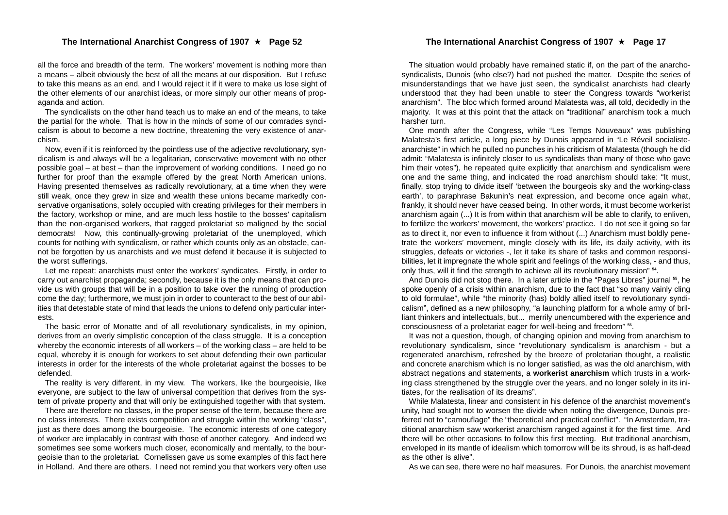all the force and breadth of the term. The workers' movement is nothing more than a means – albeit obviously the best of all the means at our disposition. But I refuse to take this means as an end, and I would reject it if it were to make us lose sight of the other elements of our anarchist ideas, or more simply our other means of propaganda and action.

The syndicalists on the other hand teach us to make an end of the means, to take the partial for the whole. That is how in the minds of some of our comrades syndicalism is about to become a new doctrine, threatening the very existence of anarchism.

Now, even if it is reinforced by the pointless use of the adjective revolutionary, syndicalism is and always will be a legalitarian, conservative movement with no other possible goal – at best – than the improvement of working conditions. I need go no further for proof than the example offered by the great North American unions. Having presented themselves as radically revolutionary, at a time when they were still weak, once they grew in size and wealth these unions became markedly conservative organisations, solely occupied with creating privileges for their members in the factory, workshop or mine, and are much less hostile to the bosses' capitalism than the non-organised workers, that ragged proletariat so maligned by the social democrats! Now, this continually-growing proletariat of the unemployed, which counts for nothing with syndicalism, or rather which counts only as an obstacle, cannot be forgotten by us anarchists and we must defend it because it is subjected to the worst sufferings.

Let me repeat: anarchists must enter the workers' syndicates. Firstly, in order to carry out anarchist propaganda; secondly, because it is the only means that can provide us with groups that will be in a position to take over the running of production come the day; furthermore, we must join in order to counteract to the best of our abilities that detestable state of mind that leads the unions to defend only particular interests.

The basic error of Monatte and of all revolutionary syndicalists, in my opinion, derives from an overly simplistic conception of the class struggle. It is a conception whereby the economic interests of all workers – of the working class – are held to be equal, whereby it is enough for workers to set about defending their own particular interests in order for the interests of the whole proletariat against the bosses to be defended.

The reality is very different, in my view. The workers, like the bourgeoisie, like everyone, are subject to the law of universal competition that derives from the system of private property and that will only be extinguished together with that system.

There are therefore no classes, in the proper sense of the term, because there are no class interests. There exists competition and struggle within the working "class", just as there does among the bourgeoisie. The economic interests of one category of worker are implacably in contrast with those of another category. And indeed we sometimes see some workers much closer, economically and mentally, to the bourgeoisie than to the proletariat. Cornelissen gave us some examples of this fact here in Holland. And there are others. I need not remind you that workers very often use

The situation would probably have remained static if, on the part of the anarchosyndicalists, Dunois (who else?) had not pushed the matter. Despite the series of misunderstandings that we have just seen, the syndicalist anarchists had clearly understood that they had been unable to steer the Congress towards "workerist anarchism". The bloc which formed around Malatesta was, all told, decidedly in the majority. It was at this point that the attack on "traditional" anarchism took a much harsher turn.

One month after the Congress, while "Les Temps Nouveaux" was publishing Malatesta's first article, a long piece by Dunois appeared in "Le Réveil socialisteanarchiste" in which he pulled no punches in his criticism of Malatesta (though he did admit: "Malatesta is infinitely closer to us syndicalists than many of those who gave him their votes"), he repeated quite explicitly that anarchism and syndicalism were one and the same thing, and indicated the road anarchism should take: "It must, finally, stop trying to divide itself 'between the bourgeois sky and the working-class earth', to paraphrase Bakunin's neat expression, and become once again what, frankly, it should never have ceased being. In other words, it must become workerist anarchism again (...) It is from within that anarchism will be able to clarify, to enliven, to fertilize the workers' movement, the workers' practice. I do not see it going so far as to direct it, nor even to influence it from without (...) Anarchism must boldly penetrate the workers' movement, mingle closely with its life, its daily activity, with its struggles, defeats or victories -, let it take its share of tasks and common responsibilities, let it impregnate the whole spirit and feelings of the working class, - and thus, only thus, will it find the strength to achieve all its revolutionary mission" **<sup>54</sup>**.

And Dunois did not stop there. In a later article in the "Pages Libres" journal **<sup>55</sup>**, he spoke openly of a crisis within anarchism, due to the fact that "so many vainly cling to old formulae", while "the minority (has) boldly allied itself to revolutionary syndicalism", defined as a new philosophy, "a launching platform for a whole army of brilliant thinkers and intellectuals, but... merrily unencumbered with the experience and consciousness of a proletariat eager for well-being and freedom" **<sup>56</sup>**.

It was not a question, though, of changing opinion and moving from anarchism to revolutionary syndicalism, since "revolutionary syndicalism is anarchism - but a regenerated anarchism, refreshed by the breeze of proletarian thought, a realistic and concrete anarchism which is no longer satisfied, as was the old anarchism, with abstract negations and statements, a **workerist anarchism** which trusts in a working class strengthened by the struggle over the years, and no longer solely in its initiates, for the realisation of its dreams".

While Malatesta, linear and consistent in his defence of the anarchist movement's unity, had sought not to worsen the divide when noting the divergence, Dunois preferred not to "camouflage" the "theoretical and practical conflict". "In Amsterdam, traditional anarchism saw workerist anarchism ranged against it for the first time. And there will be other occasions to follow this first meeting. But traditional anarchism, enveloped in its mantle of idealism which tomorrow will be its shroud, is as half-dead as the other is alive".

As we can see, there were no half measures. For Dunois, the anarchist movement

#### The International Anarchist Congress of 1907 ★ Page 17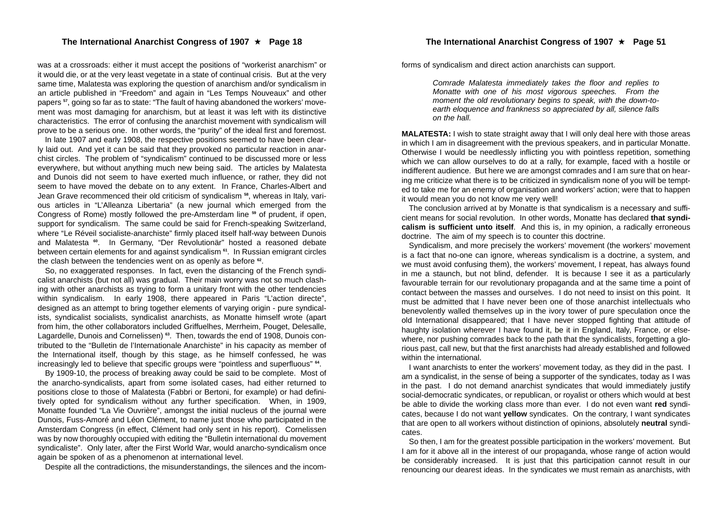was at a crossroads: either it must accept the positions of "workerist anarchism" or it would die, or at the very least vegetate in a state of continual crisis. But at the very same time, Malatesta was exploring the question of anarchism and/or syndicalism in an article published in "Freedom" and again in "Les Temps Nouveaux" and other papers **<sup>57</sup>**, going so far as to state: "The fault of having abandoned the workers' movement was most damaging for anarchism, but at least it was left with its distinctive characteristics. The error of confusing the anarchist movement with syndicalism will prove to be a serious one. In other words, the "purity" of the ideal first and foremost.

In late 1907 and early 1908, the respective positions seemed to have been clearly laid out. And yet it can be said that they provoked no particular reaction in anarchist circles. The problem of "syndicalism" continued to be discussed more or less everywhere, but without anything much new being said. The articles by Malatesta and Dunois did not seem to have exerted much influence, or rather, they did not seem to have moved the debate on to any extent. In France, Charles-Albert and Jean Grave recommenced their old criticism of syndicalism **<sup>58</sup>**, whereas in Italy, various articles in "L'Alleanza Libertaria" (a new journal which emerged from the Congress of Rome) mostly followed the pre-Amsterdam line **<sup>59</sup>** of prudent, if open, support for syndicalism. The same could be said for French-speaking Switzerland, where "Le Réveil socialiste-anarchiste" firmly placed itself half-way between Dunois and Malatesta **<sup>60</sup>**. In Germany, "Der Revolutionär" hosted a reasoned debate between certain elements for and against syndicalism **<sup>61</sup>**. In Russian emigrant circles the clash between the tendencies went on as openly as before **<sup>62</sup>**.

So, no exaggerated responses. In fact, even the distancing of the French syndicalist anarchists (but not all) was gradual. Their main worry was not so much clashing with other anarchists as trying to form a unitary front with the other tendencies within syndicalism. In early 1908, there appeared in Paris "L'action directe", designed as an attempt to bring together elements of varying origin - pure syndicalists, syndicalist socialists, syndicalist anarchists, as Monatte himself wrote (apart from him, the other collaborators included Griffuelhes, Merrheim, Pouget, Delesalle, Lagardelle, Dunois and Cornelissen) **63**. Then, towards the end of 1908, Dunois contributed to the "Bulletin de l'Internationale Anarchiste" in his capacity as member of the International itself, though by this stage, as he himself confessed, he was increasingly led to believe that specific groups were "pointless and superfluous" **<sup>64</sup>**.

By 1909-10, the process of breaking away could be said to be complete. Most of the anarcho-syndicalists, apart from some isolated cases, had either returned to positions close to those of Malatesta (Fabbri or Bertoni, for example) or had definitively opted for syndicalism without any further specification. When, in 1909, Monatte founded "La Vie Ouvrière", amongst the initial nucleus of the journal were Dunois, Fuss-Amoré and Léon Clément, to name just those who participated in the Amsterdam Congress (in effect, Clément had only sent in his report). Cornelissen was by now thoroughly occupied with editing the "Bulletin international du movement syndicaliste". Only later, after the First World War, would anarcho-syndicalism once again be spoken of as a phenomenon at international level.

Despite all the contradictions, the misunderstandings, the silences and the incom-

forms of syndicalism and direct action anarchists can support.

*Comrade Malatesta immediately takes the floor and replies to Monatte with one of his most vigorous speeches. From the moment the old revolutionary begins to speak, with the down-toearth eloquence and frankness so appreciated by all, silence falls on the hall.*

**MALATESTA:** I wish to state straight away that I will only deal here with those areas in which I am in disagreement with the previous speakers, and in particular Monatte. Otherwise I would be needlessly inflicting you with pointless repetition, something which we can allow ourselves to do at a rally, for example, faced with a hostile or indifferent audience. But here we are amongst comrades and I am sure that on hearing me criticize what there is to be criticized in syndicalism none of you will be tempted to take me for an enemy of organisation and workers' action; were that to happen it would mean you do not know me very well!

The conclusion arrived at by Monatte is that syndicalism is a necessary and sufficient means for social revolution. In other words, Monatte has declared **that syndicalism is sufficient unto itself**. And this is, in my opinion, a radically erroneous doctrine. The aim of my speech is to counter this doctrine.

Syndicalism, and more precisely the workers' movement (the workers' movement is a fact that no-one can ignore, whereas syndicalism is a doctrine, a system, and we must avoid confusing them), the workers' movement, I repeat, has always found in me a staunch, but not blind, defender. It is because I see it as a particularly favourable terrain for our revolutionary propaganda and at the same time a point of contact between the masses and ourselves. I do not need to insist on this point. It must be admitted that I have never been one of those anarchist intellectuals who benevolently walled themselves up in the ivory tower of pure speculation once the old International disappeared; that I have never stopped fighting that attitude of haughty isolation wherever I have found it, be it in England, Italy, France, or elsewhere, nor pushing comrades back to the path that the syndicalists, forgetting a glorious past, call new, but that the first anarchists had already established and followed within the international.

I want anarchists to enter the workers' movement today, as they did in the past. I am a syndicalist, in the sense of being a supporter of the syndicates, today as I was in the past. I do not demand anarchist syndicates that would immediately justify social-democratic syndicates, or republican, or royalist or others which would at best be able to divide the working class more than ever. I do not even want **red** syndicates, because I do not want **yellow** syndicates. On the contrary, I want syndicates that are open to all workers without distinction of opinions, absolutely **neutral** syndicates.

So then, I am for the greatest possible participation in the workers' movement. But I am for it above all in the interest of our propaganda, whose range of action would be considerably increased. It is just that this participation cannot result in our renouncing our dearest ideas. In the syndicates we must remain as anarchists, with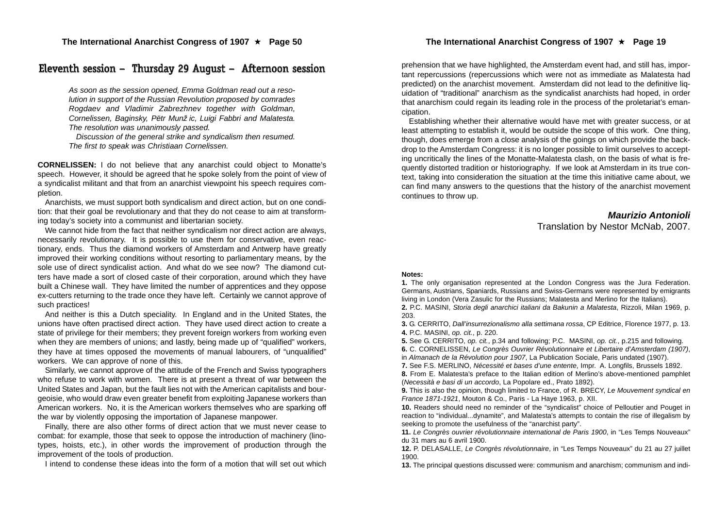## Eleventh session – Thursday 29 August – Afternoon session

*As soon as the session opened, Emma Goldman read out a resolution in support of the Russian Revolution proposed by comrades Rogdaev and Vladimir Zabrezhnev together with Goldman, Cornelissen, Baginsky, Pëtr Munžic, Luigi Fabbri and Malatesta. The resolution was unanimously passed.*

*Discussion of the general strike and syndicalism then resumed. The first to speak was Christiaan Cornelissen.*

**CORNELISSEN:** I do not believe that any anarchist could object to Monatte's speech. However, it should be agreed that he spoke solely from the point of view of a syndicalist militant and that from an anarchist viewpoint his speech requires completion.

Anarchists, we must support both syndicalism and direct action, but on one condition: that their goal be revolutionary and that they do not cease to aim at transforming today's society into a communist and libertarian society.

We cannot hide from the fact that neither syndicalism nor direct action are always, necessarily revolutionary. It is possible to use them for conservative, even reactionary, ends. Thus the diamond workers of Amsterdam and Antwerp have greatly improved their working conditions without resorting to parliamentary means, by the sole use of direct syndicalist action. And what do we see now? The diamond cutters have made a sort of closed caste of their corporation, around which they have built a Chinese wall. They have limited the number of apprentices and they oppose ex-cutters returning to the trade once they have left. Certainly we cannot approve of such practices!

And neither is this a Dutch speciality. In England and in the United States, the unions have often practised direct action. They have used direct action to create a state of privilege for their members; they prevent foreign workers from working even when they are members of unions; and lastly, being made up of "qualified" workers, they have at times opposed the movements of manual labourers, of "unqualified" workers. We can approve of none of this.

Similarly, we cannot approve of the attitude of the French and Swiss typographers who refuse to work with women. There is at present a threat of war between the United States and Japan, but the fault lies not with the American capitalists and bourgeoisie, who would draw even greater benefit from exploiting Japanese workers than American workers. No, it is the American workers themselves who are sparking off the war by violently opposing the importation of Japanese manpower.

Finally, there are also other forms of direct action that we must never cease to combat: for example, those that seek to oppose the introduction of machinery (linotypes, hoists, etc.), in other words the improvement of production through the improvement of the tools of production.

I intend to condense these ideas into the form of a motion that will set out which

prehension that we have highlighted, the Amsterdam event had, and still has, important repercussions (repercussions which were not as immediate as Malatesta had predicted) on the anarchist movement. Amsterdam did not lead to the definitive liquidation of "traditional" anarchism as the syndicalist anarchists had hoped, in order that anarchism could regain its leading role in the process of the proletariat's emancipation.

Establishing whether their alternative would have met with greater success, or at least attempting to establish it, would be outside the scope of this work. One thing, though, does emerge from a close analysis of the goings on which provide the backdrop to the Amsterdam Congress: it is no longer possible to limit ourselves to accepting uncritically the lines of the Monatte-Malatesta clash, on the basis of what is frequently distorted tradition or historiography. If we look at Amsterdam in its true context, taking into consideration the situation at the time this initiative came about, we can find many answers to the questions that the history of the anarchist movement continues to throw up.

#### *Maurizio Antonioli*

Translation by Nestor McNab, 2007.

#### **Notes:**

**1.** The only organisation represented at the London Congress was the Jura Federation. Germans, Austrians, Spaniards, Russians and Swiss-Germans were represented by emigrants living in London (Vera Zasulic for the Russians; Malatesta and Merlino for the Italians).

**2.** P.C. MASINI, *Storia degli anarchici italiani da Bakunin a Malatesta*, Rizzoli, Milan 1969, p. 203.

**3.** G. CERRITO, *Dall'insurrezionalismo alla settimana rossa*, CP Editrice, Florence 1977, p. 13. **4.** P.C. MASINI, *op. cit.*, p. 220.

**5.** See G. CERRITO, *op. cit.*, p.34 and following; P.C. MASINI, *op. cit.*, p.215 and following.

**6.** C. CORNELISSEN, *Le Congrès Ouvrier Révolutionnaire et Libertaire d'Amsterdam (1907)*,

in *Almanach de la Révolution pour 1907*, La Publication Sociale, Paris undated (1907).

**7.** See F.S. MERLINO, *Nécessité et bases d'une entente*, Impr. A. Longfils, Brussels 1892.

**8.** From E. Malatesta's preface to the Italian edition of Merlino's above-mentioned pamphlet (*Necessità e basi di un accordo*, La Popolare ed., Prato 1892).

**9.** This is also the opinion, though limited to France, of R. BRECY, *Le Mouvement syndical en France 1871-1921*, Mouton & Co., Paris - La Haye 1963, p. XII.

**10.** Readers should need no reminder of the "syndicalist" choice of Pelloutier and Pouget in reaction to "individual...dynamite", and Malatesta's attempts to contain the rise of illegalism by seeking to promote the usefulness of the "anarchist party".

**11.** *Le Congrès ouvrier révolutionnaire international de Paris 1900*, in "Les Temps Nouveaux" du 31 mars au 6 avril 1900.

**12.** P. DELASALLE, *Le Congrès révolutionnaire*, in "Les Temps Nouveaux" du 21 au 27 juillet 1900.

**13.** The principal questions discussed were: communism and anarchism; communism and indi-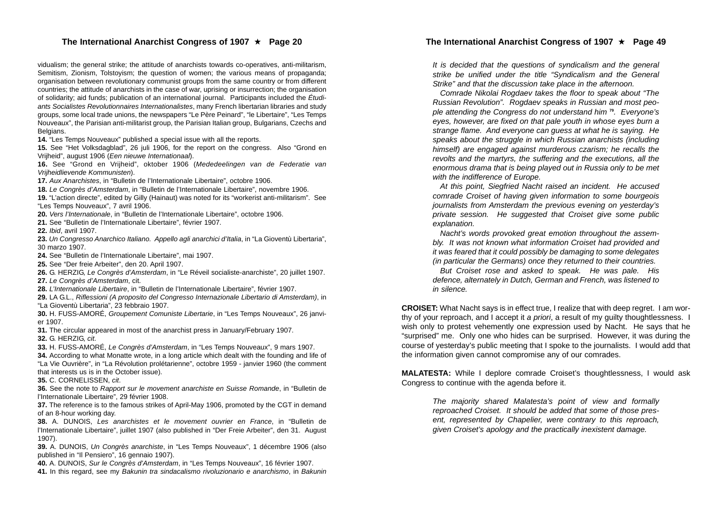#### The International Anarchist Congress of 1907 ★ Page 20

vidualism; the general strike; the attitude of anarchists towards co-operatives, anti-militarism, Semitism, Zionism, Tolstoyism; the question of women; the various means of propaganda; organisation between revolutionary communist groups from the same country or from different countries; the attitude of anarchists in the case of war, uprising or insurrection; the organisation of solidarity; aid funds; publication of an international journal. Participants included the *Étudiants Socialistes Revolutionnaires Internationalistes*, many French libertarian libraries and study groups, some local trade unions, the newspapers "Le Père Peinard", "le Libertaire", "Les Temps Nouveaux", the Parisian anti-militarist group, the Parisian Italian group, Bulgarians, Czechs and Belgians.

**14.** "Les Temps Nouveaux" published a special issue with all the reports.

**15.** See "Het Volksdagblad", 26 juli 1906, for the report on the congress. Also "Grond en Vrijheid", august 1906 (*Een nieuwe Internationaal*).

**16.** See "Grond en Vrijheid", oktober 1906 (*Mededeelingen van de Federatie van Vrijheidlievende Kommunisten*).

**17.** *Aux Anarchistes*, in "Bulletin de l'Internationale Libertaire", octobre 1906.

**18.** *Le Congrès d'Amsterdam*, in "Bulletin de l'Internationale Libertaire", novembre 1906.

**19.** "L'action directe", edited by Gilly (Hainaut) was noted for its "workerist anti-militarism". See "Les Temps Nouveaux", 7 avril 1906.

**20.** *Vers l'Internationale*, in "Bulletin de l'Internationale Libertaire", octobre 1906.

**21.** See "Bulletin de l'Internationale Libertaire", février 1907.

**22.** *Ibid*, avril 1907.

**23.** *Un Congresso Anarchico Italiano. Appello agli anarchici d'Italia*, in "La Gioventù Libertaria", 30 marzo 1907.

**24.** See "Bulletin de l'Internationale Libertaire", mai 1907.

**25.** See "Der freie Arbeiter", den 20. April 1907.

**26.** G. HERZIG, *Le Congrès d'Amsterdam*, in "Le Réveil socialiste-anarchiste", 20 juillet 1907.

**27.** *Le Congrès d'Amsterdam*, cit.

**28.** *L'Internationale Libertaire*, in "Bulletin de l'Internationale Libertaire", février 1907.

**29.** LA G.L., *Riflessioni (A proposito del Congresso Internazionale Libertario di Amsterdam)*, in

"La Gioventù Libertaria", 23 febbraio 1907.

**30.** H. FUSS-AMORÉ, *Groupement Comuniste Libertarie*, in "Les Temps Nouveaux", 26 janvier 1907.

**31.** The circular appeared in most of the anarchist press in January/February 1907.

**32.** G. HERZIG, *cit*.

**33.** H. FUSS-AMORÉ, *Le Congrès d'Amsterdam*, in "Les Temps Nouveaux", 9 mars 1907.

**34.** According to what Monatte wrote, in a long article which dealt with the founding and life of "La Vie Ouvrière", in "La Révolution prolétarienne", octobre 1959 - janvier 1960 (the comment that interests us is in the October issue).

**35.** C. CORNELISSEN, *cit*.

**36.** See the note to *Rapport sur le movement anarchiste en Suisse Romande*, in "Bulletin de l'Internationale Libertaire", 29 février 1908.

**37.** The reference is to the famous strikes of April-May 1906, promoted by the CGT in demand of an 8-hour working day.

**38.** A. DUNOIS, *Les anarchistes et le movement ouvrier en France*, in "Bulletin de l'Internationale Libertaire", juillet 1907 (also published in "Der Freie Arbeiter", den 31. August 1907).

**39.** A. DUNOIS, *Un Congrès anarchiste*, in "Les Temps Nouveaux", 1 décembre 1906 (also published in "Il Pensiero", 16 gennaio 1907).

**40.** A. DUNOIS, *Sur le Congrès d'Amsterdam*, in "Les Temps Nouveaux", 16 février 1907.

**41.** In this regard, see my *Bakunin tra sindacalismo rivoluzionario e anarchismo*, in *Bakunin*

*It is decided that the questions of syndicalism and the general strike be unified under the title "Syndicalism and the General Strike" and that the discussion take place in the afternoon.*

*Comrade Nikolai Rogdaev takes the floor to speak about "The Russian Revolution". Rogdaev speaks in Russian and most people attending the Congress do not understand him* **<sup>79</sup>***. Everyone's eyes, however, are fixed on that pale youth in whose eyes burn a strange flame. And everyone can guess at what he is saying. He speaks about the struggle in which Russian anarchists (including himself) are engaged against murderous czarism; he recalls the revolts and the martyrs, the suffering and the executions, all the enormous drama that is being played out in Russia only to be met with the indifference of Europe.*

*At this point, Siegfried Nacht raised an incident. He accused comrade Croiset of having given information to some bourgeois journalists from Amsterdam the previous evening on yesterday's private session. He suggested that Croiset give some public explanation.*

*Nacht's words provoked great emotion throughout the assembly. It was not known what information Croiset had provided and it was feared that it could possibly be damaging to some delegates (in particular the Germans) once they returned to their countries.*

*But Croiset rose and asked to speak. He was pale. His defence, alternately in Dutch, German and French, was listened to in silence.*

**CROISET:** What Nacht says is in effect true, I realize that with deep regret. I am worthy of your reproach, and I accept it *a priori*, a result of my guilty thoughtlessness. I wish only to protest vehemently one expression used by Nacht. He says that he "surprised" me. Only one who hides can be surprised. However, it was during the course of yesterday's public meeting that I spoke to the journalists. I would add that the information given cannot compromise any of our comrades.

**MALATESTA:** While I deplore comrade Croiset's thoughtlessness, I would ask Congress to continue with the agenda before it.

> *The majority shared Malatesta's point of view and formally reproached Croiset. It should be added that some of those present, represented by Chapelier, were contrary to this reproach, given Croiset's apology and the practically inexistent damage.*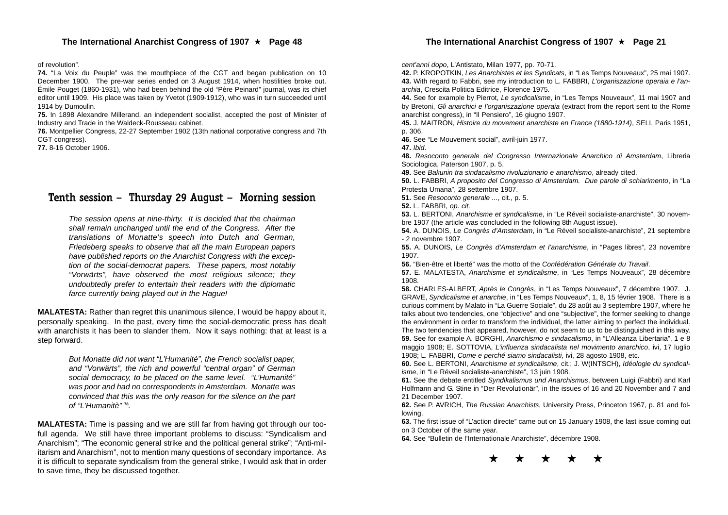of revolution".

**74.** "La Voix du Peuple" was the mouthpiece of the CGT and began publication on 10 December 1900. The pre-war series ended on 3 August 1914, when hostilities broke out. Émile Pouget (1860-1931), who had been behind the old "Père Peinard" journal, was its chief editor until 1909. His place was taken by Yvetot (1909-1912), who was in turn succeeded until 1914 by Dumoulin.

**75.** In 1898 Alexandre Millerand, an independent socialist, accepted the post of Minister of Industry and Trade in the Waldeck-Rousseau cabinet.

**76.** Montpellier Congress, 22-27 September 1902 (13th national corporative congress and 7th CGT congress).

**77.** 8-16 October 1906.

## Tenth session – Thursday 29 August – Morning session

*The session opens at nine-thirty. It is decided that the chairman shall remain unchanged until the end of the Congress. After the translations of Monatte's speech into Dutch and German, Friedeberg speaks to observe that all the main European papers have published reports on the Anarchist Congress with the exception of the social-democrat papers. These papers, most notably "Vorwärts", have observed the most religious silence; they undoubtedly prefer to entertain their readers with the diplomatic farce currently being played out in the Hague!*

**MALATESTA:** Rather than regret this unanimous silence, I would be happy about it, personally speaking. In the past, every time the social-democratic press has dealt with anarchists it has been to slander them. Now it says nothing: that at least is a step forward.

> *But Monatte did not want "L'Humanité", the French socialist paper, and "Vorwärts", the rich and powerful "central organ" of German social democracy, to be placed on the same level. "L'Humanité" was poor and had no correspondents in Amsterdam. Monatte was convinced that this was the only reason for the silence on the part of "L'Humanitè"* **<sup>78</sup>***.*

**MALATESTA:** Time is passing and we are still far from having got through our toofull agenda. We still have three important problems to discuss: "Syndicalism and Anarchism"; "The economic general strike and the political general strike"; "Anti-militarism and Anarchism", not to mention many questions of secondary importance. As it is difficult to separate syndicalism from the general strike, I would ask that in order to save time, they be discussed together.

*cent'anni dopo*, L'Antistato, Milan 1977, pp. 70-71.

**42.** P. KROPOTKIN, *Les Anarchistes et les Syndicats*, in "Les Temps Nouveaux", 25 mai 1907. **43.** With regard to Fabbri, see my introduction to L. FABBRI, *L'organiszazione operaia e l'anarchia*, Crescita Politica Editrice, Florence 1975.

**44.** See for example by Pierrot, *Le syndicalisme*, in "Les Temps Nouveaux", 11 mai 1907 and by Bretoni, *Gli anarchici e l'organiszazione operaia* (extract from the report sent to the Rome anarchist congress), in "Il Pensiero", 16 giugno 1907.

**45.** J. MAITRON, *Histoire du movement anarchiste en France (1880-1914)*, SELI, Paris 1951, p. 306.

**46.** See "Le Mouvement social", avril-juin 1977.

**47.** *Ibid*.

**48.** *Resoconto generale del Congresso Internazionale Anarchico di Amsterdam*, Libreria Sociologica, Paterson 1907, p. 5.

**49.** See *Bakunin tra sindacalismo rivoluzionario e anarchismo*, already cited.

**50.** L. FABBRI, *A proposito del Congresso di Amsterdam. Due parole di schiarimento*, in "La Protesta Umana", 28 settembre 1907.

**51.** See *Resoconto generale ...*, cit., p. 5.

**52.** L. FABBRI, *op. cit.*

**53.** L. BERTONI, *Anarchisme et syndicalisme*, in "Le Réveil socialiste-anarchiste", 30 novembre 1907 (the article was concluded in the following 8th August issue).

**54.** A. DUNOIS, *Le Congrès d'Amsterdam*, in "Le Réveil socialiste-anarchiste", 21 septembre - 2 novembre 1907.

**55.** A. DUNOIS, *Le Congrès d'Amsterdam et l'anarchisme*, in "Pages libres", 23 novembre 1907.

**56.** "Bien-être et liberté" was the motto of the *Confédération Générale du Travail*.

**57.** E. MALATESTA, *Anarchisme et syndicalisme*, in "Les Temps Nouveaux", 28 décembre 1908.

**58.** CHARLES-ALBERT, *Après le Congrès*, in "Les Temps Nouveaux", 7 décembre 1907. J. GRAVE, *Syndicalisme et anarchie*, in "Les Temps Nouveaux", 1, 8, 15 février 1908. There is a curious comment by Malato in "La Guerre Sociale", du 28 août au 3 septembre 1907, where he talks about two tendencies, one "objective" and one "subjective", the former seeking to change the environment in order to transform the individual, the latter aiming to perfect the individual. The two tendencies that appeared, however, do not seem to us to be distinguished in this way. **59.** See for example A. BORGHI, *Anarchismo e sindacalismo*, in "L'Alleanza Libertaria", 1 e 8 maggio 1908; E. SOTTOVIA, *L'influenza sindacalista nel movimento anarchico*, ivi, 17 luglio 1908; L. FABBRI, *Come e perché siamo sindacalisti*, ivi, 28 agosto 1908, etc.

**60.** See L. BERTONI, *Anarchisme et syndicalisme*, cit.; J. W(INTSCH), *Idéologie du syndicalisme*, in "Le Réveil socialiste-anarchiste", 13 juin 1908.

**61.** See the debate entitled *Syndikalismus und Anarchismus*, between Luigi (Fabbri) and Karl Holfmann and G. Stine in "Der Revolutionär", in the issues of 16 and 20 November and 7 and 21 December 1907.

**62.** See P. AVRICH, *The Russian Anarchists*, University Press, Princeton 1967, p. 81 and following.

**63.** The first issue of "L'action directe" came out on 15 January 1908, the last issue coming out on 3 October of the same year.

**64.** See "Bulletin de l'Internationale Anarchiste", décembre 1908.



#### The International Anarchist Congress of 1907 ★ Page 21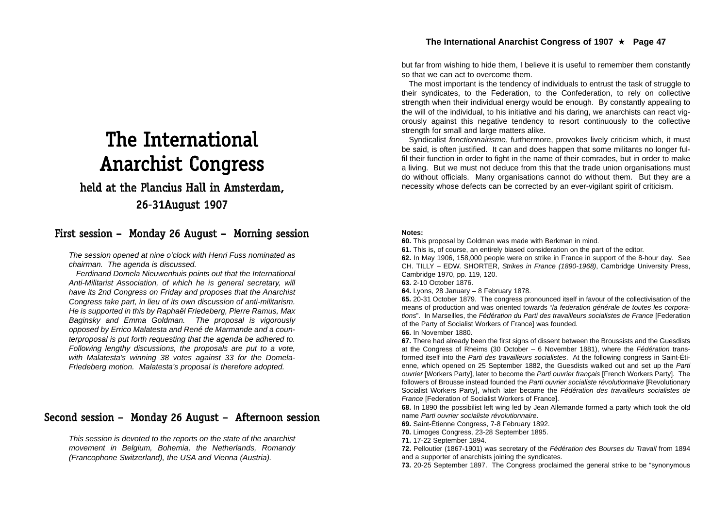## The International Anarchist Congress

## held at the Plancius Hall in Amsterdam, 2 6-3 1 A u g ust 1 9 0 7

## First session – Monday 26 August – Morning session

*The session opened at nine o'clock with Henri Fuss nominated as chairman. The agenda is discussed.*

*Ferdinand Domela Nieuwenhuis points out that the International Anti-Militarist Association, of which he is general secretary, will have its 2nd Congress on Friday and proposes that the Anarchist Congress take part, in lieu of its own discussion of anti-militarism. He is supported in this by Raphaël Friedeberg, Pierre Ramus, Max Baginsky and Emma Goldman. The proposal is vigorously opposed by Errico Malatesta and René de Marmande and a counterproposal is put forth requesting that the agenda be adhered to. Following lengthy discussions, the proposals are put to a vote, with Malatesta's winning 38 votes against 33 for the Domela-Friedeberg motion. Malatesta's proposal is therefore adopted.*

## Second session – Monday 26 August – Afternoon session

*This session is devoted to the reports on the state of the anarchist movement in Belgium, Bohemia, the Netherlands, Romandy (Francophone Switzerland), the USA and Vienna (Austria).*

but far from wishing to hide them, I believe it is useful to remember them constantly so that we can act to overcome them.

The most important is the tendency of individuals to entrust the task of struggle to their syndicates, to the Federation, to the Confederation, to rely on collective strength when their individual energy would be enough. By constantly appealing to the will of the individual, to his initiative and his daring, we anarchists can react vigorously against this negative tendency to resort continuously to the collective strength for small and large matters alike.

Syndicalist *fonctionnairisme*, furthermore, provokes lively criticism which, it must be said, is often justified. It can and does happen that some militants no longer fulfil their function in order to fight in the name of their comrades, but in order to make a living. But we must not deduce from this that the trade union organisations must do without officials. Many organisations cannot do without them. But they are a necessity whose defects can be corrected by an ever-vigilant spirit of criticism.

#### **Notes:**

**60.** This proposal by Goldman was made with Berkman in mind.

**61.** This is, of course, an entirely biased consideration on the part of the editor.

**62.** In May 1906, 158,000 people were on strike in France in support of the 8-hour day. See CH. TILLY – EDW. SHORTER, *Strikes in France (1890-1968)*, Cambridge University Press, Cambridge 1970, pp. 119, 120.

**63.** 2-10 October 1876.

**64.** Lyons, 28 January – 8 February 1878.

**65.** 20-31 October 1879. The congress pronounced itself in favour of the collectivisation of the means of production and was oriented towards "*la federation générale de toutes les corporations*". In Marseilles, the *Fédération du Parti des travailleurs socialistes de France* [Federation of the Party of Socialist Workers of France] was founded.

#### **66.** In November 1880.

**67.** There had already been the first signs of dissent between the Broussists and the Guesdists at the Congress of Rheims (30 October – 6 November 1881), where the *Fédération* transformed itself into the *Parti des travailleurs socialistes*. At the following congress in Saint-Étienne, which opened on 25 September 1882, the Guesdists walked out and set up the *Parti ouvrier* [Workers Party], later to become the *Parti ouvrier français* [French Workers Party]. The followers of Brousse instead founded the *Parti ouvrier socialiste révolutionnaire* [Revolutionary Socialist Workers Party], which later became the *Fédération des travailleurs socialistes de France* [Federation of Socialist Workers of France].

**68.** In 1890 the possibilist left wing led by Jean Allemande formed a party which took the old name *Parti ouvrier socialiste révolutionnaire*.

**69.** Saint-Étienne Congress, 7-8 February 1892.

**70.** Limoges Congress, 23-28 September 1895.

**71.** 17-22 September 1894.

**72.** Pelloutier (1867-1901) was secretary of the *Fédération des Bourses du Travail* from 1894 and a supporter of anarchists joining the syndicates.

**73.** 20-25 September 1897. The Congress proclaimed the general strike to be "synonymous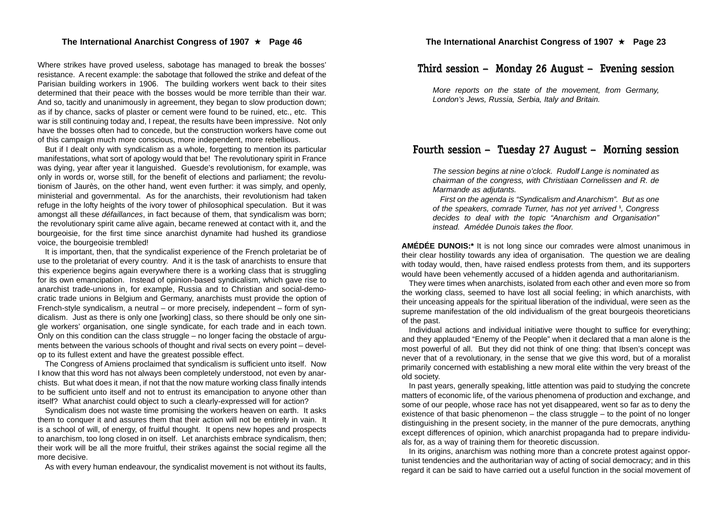Where strikes have proved useless, sabotage has managed to break the bosses' resistance. A recent example: the sabotage that followed the strike and defeat of the Parisian building workers in 1906. The building workers went back to their sites determined that their peace with the bosses would be more terrible than their war. And so, tacitly and unanimously in agreement, they began to slow production down; as if by chance, sacks of plaster or cement were found to be ruined, etc., etc. This war is still continuing today and, I repeat, the results have been impressive. Not only have the bosses often had to concede, but the construction workers have come out of this campaign much more conscious, more independent, more rebellious.

But if I dealt only with syndicalism as a whole, forgetting to mention its particular manifestations, what sort of apology would that be! The revolutionary spirit in France was dying, year after year it languished. Guesde's revolutionism, for example, was only in words or, worse still, for the benefit of elections and parliament; the revolutionism of Jaurès, on the other hand, went even further: it was simply, and openly, ministerial and governmental. As for the anarchists, their revolutionism had taken refuge in the lofty heights of the ivory tower of philosophical speculation. But it was amongst all these *défaillances*, in fact because of them, that syndicalism was born; the revolutionary spirit came alive again, became renewed at contact with it, and the bourgeoisie, for the first time since anarchist dynamite had hushed its grandiose voice, the bourgeoisie trembled!

It is important, then, that the syndicalist experience of the French proletariat be of use to the proletariat of every country. And it is the task of anarchists to ensure that this experience begins again everywhere there is a working class that is struggling for its own emancipation. Instead of opinion-based syndicalism, which gave rise to anarchist trade-unions in, for example, Russia and to Christian and social-democratic trade unions in Belgium and Germany, anarchists must provide the option of French-style syndicalism, a neutral – or more precisely, independent – form of syndicalism. Just as there is only one [working] class, so there should be only one single workers' organisation, one single syndicate, for each trade and in each town. Only on this condition can the class struggle – no longer facing the obstacle of arguments between the various schools of thought and rival sects on every point – develop to its fullest extent and have the greatest possible effect.

The Congress of Amiens proclaimed that syndicalism is sufficient unto itself. Now I know that this word has not always been completely understood, not even by anarchists. But what does it mean, if not that the now mature working class finally intends to be sufficient unto itself and not to entrust its emancipation to anyone other than itself? What anarchist could object to such a clearly-expressed will for action?

Syndicalism does not waste time promising the workers heaven on earth. It asks them to conquer it and assures them that their action will not be entirely in vain. It is a school of will, of energy, of fruitful thought. It opens new hopes and prospects to anarchism, too long closed in on itself. Let anarchists embrace syndicalism, then; their work will be all the more fruitful, their strikes against the social regime all the more decisive.

As with every human endeavour, the syndicalist movement is not without its faults,

## Third session – Monday 26 August – Evening session

*More reports on the state of the movement, from Germany, London's Jews, Russia, Serbia, Italy and Britain.*

## Fourth session – Tuesday 27 August – Morning session

*The session begins at nine o'clock. Rudolf Lange is nominated as chairman of the congress, with Christiaan Cornelissen and R. de Marmande as adjutants.*

*First on the agenda is "Syndicalism and Anarchism". But as one of the speakers, comrade Turner, has not yet arrived* **<sup>1</sup>***, Congress decides to deal with the topic "Anarchism and Organisation" instead. Amédée Dunois takes the floor.*

**AMÉDÉE DUNOIS:\*** It is not long since our comrades were almost unanimous in their clear hostility towards any idea of organisation. The question we are dealing with today would, then, have raised endless protests from them, and its supporters would have been vehemently accused of a hidden agenda and authoritarianism.

They were times when anarchists, isolated from each other and even more so from the working class, seemed to have lost all social feeling; in which anarchists, with their unceasing appeals for the spiritual liberation of the individual, were seen as the supreme manifestation of the old individualism of the great bourgeois theoreticians of the past.

Individual actions and individual initiative were thought to suffice for everything; and they applauded "Enemy of the People" when it declared that a man alone is the most powerful of all. But they did not think of one thing: that Ibsen's concept was never that of a revolutionary, in the sense that we give this word, but of a moralist primarily concerned with establishing a new moral elite within the very breast of the old society.

In past years, generally speaking, little attention was paid to studying the concrete matters of economic life, of the various phenomena of production and exchange, and some of our people, whose race has not yet disappeared, went so far as to deny the existence of that basic phenomenon – the class struggle – to the point of no longer distinguishing in the present society, in the manner of the pure democrats, anything except differences of opinion, which anarchist propaganda had to prepare individuals for, as a way of training them for theoretic discussion.

In its origins, anarchism was nothing more than a concrete protest against opportunist tendencies and the authoritarian way of acting of social democracy; and in this regard it can be said to have carried out a useful function in the social movement of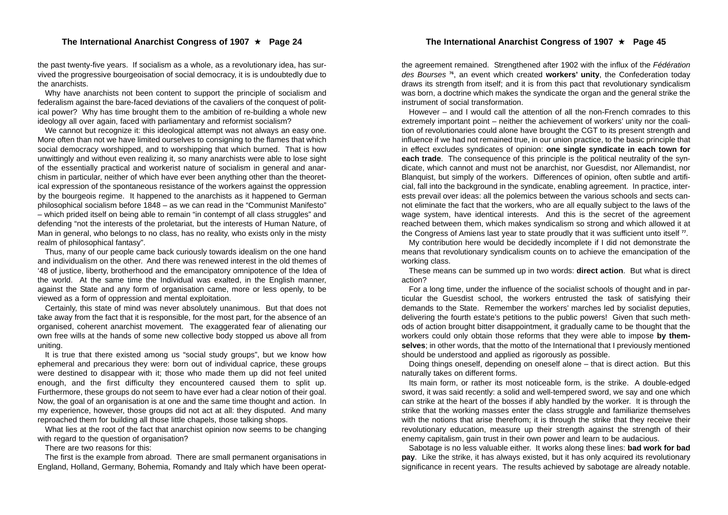the past twenty-five years. If socialism as a whole, as a revolutionary idea, has survived the progressive bourgeoisation of social democracy, it is is undoubtedly due to the anarchists.

Why have anarchists not been content to support the principle of socialism and federalism against the bare-faced deviations of the cavaliers of the conquest of political power? Why has time brought them to the ambition of re-building a whole new ideology all over again, faced with parliamentary and reformist socialism?

We cannot but recognize it: this ideological attempt was not always an easy one. More often than not we have limited ourselves to consigning to the flames that which social democracy worshipped, and to worshipping that which burned. That is how unwittingly and without even realizing it, so many anarchists were able to lose sight of the essentially practical and workerist nature of socialism in general and anarchism in particular, neither of which have ever been anything other than the theoretical expression of the spontaneous resistance of the workers against the oppression by the bourgeois regime. It happened to the anarchists as it happened to German philosophical socialism before 1848 – as we can read in the "Communist Manifesto" – which prided itself on being able to remain "in contempt of all class struggles" and defending "not the interests of the proletariat, but the interests of Human Nature, of Man in general, who belongs to no class, has no reality, who exists only in the misty realm of philosophical fantasy".

Thus, many of our people came back curiously towards idealism on the one hand and individualism on the other. And there was renewed interest in the old themes of '48 of justice, liberty, brotherhood and the emancipatory omnipotence of the Idea of the world. At the same time the Individual was exalted, in the English manner, against the State and any form of organisation came, more or less openly, to be viewed as a form of oppression and mental exploitation.

Certainly, this state of mind was never absolutely unanimous. But that does not take away from the fact that it is responsible, for the most part, for the absence of an organised, coherent anarchist movement. The exaggerated fear of alienating our own free wills at the hands of some new collective body stopped us above all from uniting.

It is true that there existed among us "social study groups", but we know how ephemeral and precarious they were: born out of individual caprice, these groups were destined to disappear with it; those who made them up did not feel united enough, and the first difficulty they encountered caused them to split up. Furthermore, these groups do not seem to have ever had a clear notion of their goal. Now, the goal of an organisation is at one and the same time thought and action. In my experience, however, those groups did not act at all: they disputed. And many reproached them for building all those little chapels, those talking shops.

What lies at the root of the fact that anarchist opinion now seems to be changing with regard to the question of organisation?

There are two reasons for this:

The first is the example from abroad. There are small permanent organisations in England, Holland, Germany, Bohemia, Romandy and Italy which have been operatthe agreement remained. Strengthened after 1902 with the influx of the *Fédération des Bourses* **<sup>76</sup>**, an event which created **workers' unity**, the Confederation today draws its strength from itself; and it is from this pact that revolutionary syndicalism was born, a doctrine which makes the syndicate the organ and the general strike the instrument of social transformation.

However – and I would call the attention of all the non-French comrades to this extremely important point – neither the achievement of workers' unity nor the coalition of revolutionaries could alone have brought the CGT to its present strength and influence if we had not remained true, in our union practice, to the basic principle that in effect excludes syndicates of opinion: **one single syndicate in each town for each trade**. The consequence of this principle is the political neutrality of the syndicate, which cannot and must not be anarchist, nor Guesdist, nor Allemandist, nor Blanquist, but simply of the workers. Differences of opinion, often subtle and artificial, fall into the background in the syndicate, enabling agreement. In practice, interests prevail over ideas: all the polemics between the various schools and sects cannot eliminate the fact that the workers, who are all equally subject to the laws of the wage system, have identical interests. And this is the secret of the agreement reached between them, which makes syndicalism so strong and which allowed it at the Congress of Amiens last year to state proudly that it was sufficient unto itself **<sup>77</sup>**.

My contribution here would be decidedly incomplete if I did not demonstrate the means that revolutionary syndicalism counts on to achieve the emancipation of the working class.

These means can be summed up in two words: **direct action**. But what is direct action?

For a long time, under the influence of the socialist schools of thought and in particular the Guesdist school, the workers entrusted the task of satisfying their demands to the State. Remember the workers' marches led by socialist deputies, delivering the fourth estate's petitions to the public powers! Given that such methods of action brought bitter disappointment, it gradually came to be thought that the workers could only obtain those reforms that they were able to impose **by themselves**; in other words, that the motto of the International that I previously mentioned should be understood and applied as rigorously as possible.

Doing things oneself, depending on oneself alone – that is direct action. But this naturally takes on different forms.

Its main form, or rather its most noticeable form, is the strike. A double-edged sword, it was said recently: a solid and well-tempered sword, we say and one which can strike at the heart of the bosses if ably handled by the worker. It is through the strike that the working masses enter the class struggle and familiarize themselves with the notions that arise therefrom; it is through the strike that they receive their revolutionary education, measure up their strength against the strength of their enemy capitalism, gain trust in their own power and learn to be audacious.

Sabotage is no less valuable either. It works along these lines: **bad work for bad pay**. Like the strike, it has always existed, but it has only acquired its revolutionary significance in recent years. The results achieved by sabotage are already notable.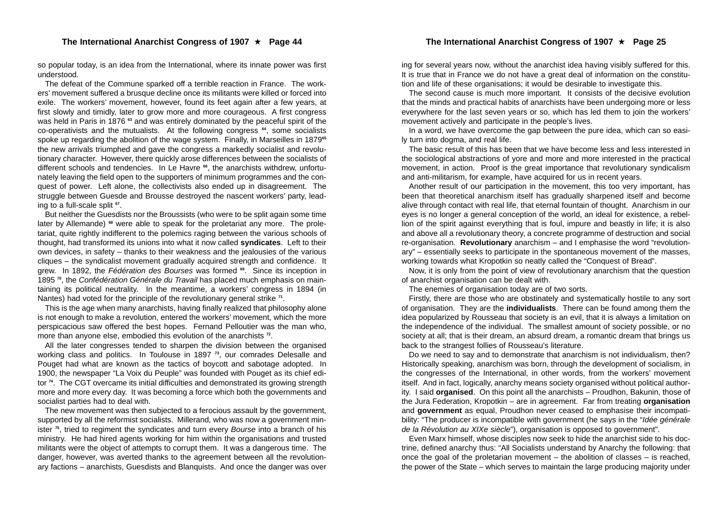so popular today, is an idea from the International, where its innate power was first understood.

The defeat of the Commune sparked off a terrible reaction in France. The workers' movement suffered a brusque decline once its militants were killed or forced into exile. The workers' movement, however, found its feet again after a few years, at first slowly and timidly, later to grow more and more courageous. A first congress was held in Paris in 1876<sup>63</sup> and was entirely dominated by the peaceful spirit of the co-operativists and the mutualists. At the following congress **<sup>64</sup>**, some socialists spoke up regarding the abolition of the wage system. Finally, in Marseilles in 1879**<sup>65</sup>** the new arrivals triumphed and gave the congress a markedly socialist and revolutionary character. However, there quickly arose differences between the socialists of different schools and tendencies. In Le Havre **<sup>66</sup>**, the anarchists withdrew, unfortunately leaving the field open to the supporters of minimum programmes and the conquest of power. Left alone, the collectivists also ended up in disagreement. The struggle between Guesde and Brousse destroyed the nascent workers' party, leading to a full-scale split **<sup>67</sup>**.

But neither the Guesdists nor the Broussists (who were to be split again some time later by Allemande) **<sup>68</sup>** were able to speak for the proletariat any more. The proletariat, quite rightly indifferent to the polemics raging between the various schools of thought, had transformed its unions into what it now called **syndicates**. Left to their own devices, in safety – thanks to their weakness and the jealousies of the various cliques – the syndicalist movement gradually acquired strength and confidence. It grew. In 1892, the *Fédération des Bourses* was formed **69**. Since its inception in 1895 **<sup>70</sup>**, the *Confédération Générale du Travail* has placed much emphasis on maintaining its political neutrality. In the meantime, a workers' congress in 1894 (in Nantes) had voted for the principle of the revolutionary general strike **<sup>71</sup>**.

This is the age when many anarchists, having finally realized that philosophy alone is not enough to make a revolution, entered the workers' movement, which the more perspicacious saw offered the best hopes. Fernand Pelloutier was the man who, more than anyone else, embodied this evolution of the anarchists **<sup>72</sup>**.

All the later congresses tended to sharpen the division between the organised working class and politics. In Toulouse in 1897 **<sup>73</sup>**, our comrades Delesalle and Pouget had what are known as the tactics of boycott and sabotage adopted. In 1900, the newspaper "La Voix du Peuple" was founded with Pouget as its chief editor **<sup>74</sup>**. The CGT overcame its initial difficulties and demonstrated its growing strength more and more every day. It was becoming a force which both the governments and socialist parties had to deal with.

The new movement was then subjected to a ferocious assault by the government, supported by all the reformist socialists. Millerand, who was now a government minister **<sup>75</sup>**, tried to regiment the syndicates and turn every *Bourse* into a branch of his ministry. He had hired agents working for him within the organisations and trusted militants were the object of attempts to corrupt them. It was a dangerous time. The danger, however, was averted thanks to the agreement between all the revolutionary factions – anarchists, Guesdists and Blanquists. And once the danger was over

ing for several years now, without the anarchist idea having visibly suffered for this. It is true that in France we do not have a great deal of information on the constitution and life of these organisations; it would be desirable to investigate this.

The second cause is much more important. It consists of the decisive evolution that the minds and practical habits of anarchists have been undergoing more or less everywhere for the last seven years or so, which has led them to join the workers' movement actively and participate in the people's lives.

In a word, we have overcome the gap between the pure idea, which can so easily turn into dogma, and real life.

The basic result of this has been that we have become less and less interested in the sociological abstractions of yore and more and more interested in the practical movement, in action. Proof is the great importance that revolutionary syndicalism and anti-militarism, for example, have acquired for us in recent years.

Another result of our participation in the movement, this too very important, has been that theoretical anarchism itself has gradually sharpened itself and become alive through contact with real life, that eternal fountain of thought. Anarchism in our eyes is no longer a general conception of the world, an ideal for existence, a rebellion of the spirit against everything that is foul, impure and beastly in life; it is also and above all a revolutionary theory, a concrete programme of destruction and social re-organisation. **Revolutionary** anarchism – and I emphasise the word "revolutionary" – essentially seeks to participate in the spontaneous movement of the masses, working towards what Kropotkin so neatly called the "Conquest of Bread".

Now, it is only from the point of view of revolutionary anarchism that the question of anarchist organisation can be dealt with.

The enemies of organisation today are of two sorts.

Firstly, there are those who are obstinately and systematically hostile to any sort of organisation. They are the **individualists**. There can be found among them the idea popularized by Rousseau that society is an evil, that it is always a limitation on the independence of the individual. The smallest amount of society possible, or no society at all; that is their dream, an absurd dream, a romantic dream that brings us back to the strangest follies of Rousseau's literature.

Do we need to say and to demonstrate that anarchism is not individualism, then? Historically speaking, anarchism was born, through the development of socialism, in the congresses of the International, in other words, from the workers' movement itself. And in fact, logically, anarchy means society organised without political authority. I said **organised**. On this point all the anarchists – Proudhon, Bakunin, those of the Jura Federation, Kropotkin – are in agreement. Far from treating **organisation** and **government** as equal, Proudhon never ceased to emphasise their incompatibility: "The producer is incompatible with government (he says in the "*Idée générale de la Révolution au XIXe siècle*"), organisation is opposed to government".

Even Marx himself, whose disciples now seek to hide the anarchist side to his doctrine, defined anarchy thus: "All Socialists understand by Anarchy the following: that once the goal of the proletarian movement – the abolition of classes – is reached. the power of the State – which serves to maintain the large producing majority under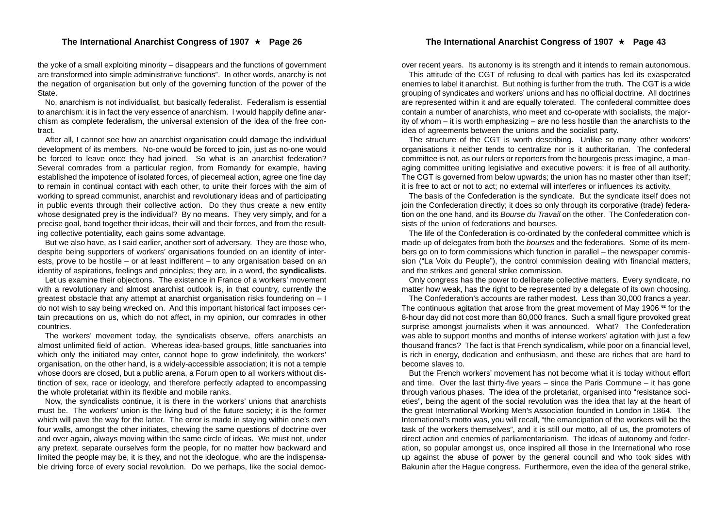the yoke of a small exploiting minority – disappears and the functions of government are transformed into simple administrative functions". In other words, anarchy is not the negation of organisation but only of the governing function of the power of the State.

No, anarchism is not individualist, but basically federalist. Federalism is essential to anarchism: it is in fact the very essence of anarchism. I would happily define anarchism as complete federalism, the universal extension of the idea of the free contract.

After all, I cannot see how an anarchist organisation could damage the individual development of its members. No-one would be forced to join, just as no-one would be forced to leave once they had joined. So what is an anarchist federation? Several comrades from a particular region, from Romandy for example, having established the impotence of isolated forces, of piecemeal action, agree one fine day to remain in continual contact with each other, to unite their forces with the aim of working to spread communist, anarchist and revolutionary ideas and of participating in public events through their collective action. Do they thus create a new entity whose designated prey is the individual? By no means. They very simply, and for a precise goal, band together their ideas, their will and their forces, and from the resulting collective potentiality, each gains some advantage.

But we also have, as I said earlier, another sort of adversary. They are those who, despite being supporters of workers' organisations founded on an identity of interests, prove to be hostile – or at least indifferent – to any organisation based on an identity of aspirations, feelings and principles; they are, in a word, the **syndicalists**.

Let us examine their objections. The existence in France of a workers' movement with a revolutionary and almost anarchist outlook is, in that country, currently the greatest obstacle that any attempt at anarchist organisation risks foundering on  $-1$ do not wish to say being wrecked on. And this important historical fact imposes certain precautions on us, which do not affect, in my opinion, our comrades in other countries.

The workers' movement today, the syndicalists observe, offers anarchists an almost unlimited field of action. Whereas idea-based groups, little sanctuaries into which only the initiated may enter, cannot hope to grow indefinitely, the workers' organisation, on the other hand, is a widely-accessible association; it is not a temple whose doors are closed, but a public arena, a Forum open to all workers without distinction of sex, race or ideology, and therefore perfectly adapted to encompassing the whole proletariat within its flexible and mobile ranks.

Now, the syndicalists continue, it is there in the workers' unions that anarchists must be. The workers' union is the living bud of the future society; it is the former which will pave the way for the latter. The error is made in staying within one's own four walls, amongst the other initiates, chewing the same questions of doctrine over and over again, always moving within the same circle of ideas. We must not, under any pretext, separate ourselves form the people, for no matter how backward and limited the people may be, it is they, and not the ideologue, who are the indispensable driving force of every social revolution. Do we perhaps, like the social democover recent years. Its autonomy is its strength and it intends to remain autonomous.

This attitude of the CGT of refusing to deal with parties has led its exasperated enemies to label it anarchist. But nothing is further from the truth. The CGT is a wide grouping of syndicates and workers' unions and has no official doctrine. All doctrines are represented within it and are equally tolerated. The confederal committee does contain a number of anarchists, who meet and co-operate with socialists, the majority of whom – it is worth emphasizing – are no less hostile than the anarchists to the idea of agreements between the unions and the socialist party.

The structure of the CGT is worth describing. Unlike so many other workers' organisations it neither tends to centralize nor is it authoritarian. The confederal committee is not, as our rulers or reporters from the bourgeois press imagine, a managing committee uniting legislative and executive powers: it is free of all authority. The CGT is governed from below upwards; the union has no master other than itself; it is free to act or not to act; no external will interferes or influences its activity.

The basis of the Confederation is the syndicate. But the syndicate itself does not join the Confederation directly; it does so only through its corporative (trade) federation on the one hand, and its *Bourse du Travail* on the other. The Confederation consists of the union of federations and bourses.

The life of the Confederation is co-ordinated by the confederal committee which is made up of delegates from both the *bourses* and the federations. Some of its members go on to form commissions which function in parallel – the newspaper commission ("La Voix du Peuple"), the control commission dealing with financial matters. and the strikes and general strike commission.

Only congress has the power to deliberate collective matters. Every syndicate, no matter how weak, has the right to be represented by a delegate of its own choosing.

The Confederation's accounts are rather modest. Less than 30,000 francs a year. The continuous agitation that arose from the great movement of May 1906 **<sup>62</sup>** for the 8-hour day did not cost more than 60,000 francs. Such a small figure provoked great surprise amongst journalists when it was announced. What? The Confederation was able to support months and months of intense workers' agitation with just a few thousand francs? The fact is that French syndicalism, while poor on a financial level, is rich in energy, dedication and enthusiasm, and these are riches that are hard to become slaves to.

But the French workers' movement has not become what it is today without effort and time. Over the last thirty-five years  $-$  since the Paris Commune  $-$  it has gone through various phases. The idea of the proletariat, organised into "resistance societies", being the agent of the social revolution was the idea that lay at the heart of the great International Working Men's Association founded in London in 1864. The International's motto was, you will recall, "the emancipation of the workers will be the task of the workers themselves", and it is still our motto, all of us, the promoters of direct action and enemies of parliamentarianism. The ideas of autonomy and federation, so popular amongst us, once inspired all those in the International who rose up against the abuse of power by the general council and who took sides with Bakunin after the Hague congress. Furthermore, even the idea of the general strike,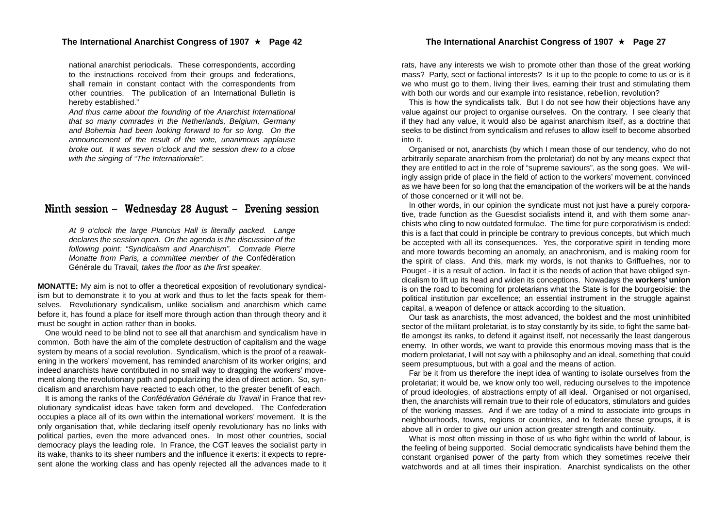#### The International Anarchist Congress of 1907 ★ Page 42

national anarchist periodicals. These correspondents, according to the instructions received from their groups and federations, shall remain in constant contact with the correspondents from other countries. The publication of an International Bulletin is hereby established."

*And thus came about the founding of the Anarchist International that so many comrades in the Netherlands, Belgium, Germany and Bohemia had been looking forward to for so long. On the announcement of the result of the vote, unanimous applause broke out. It was seven o'clock and the session drew to a close with the singing of "The Internationale".*

## Ninth session – Wednesday 28 August – Evening session

*At 9 o'clock the large Plancius Hall is literally packed. Lange declares the session open. On the agenda is the discussion of the following point: "Syndicalism and Anarchism". Comrade Pierre Monatte from Paris, a committee member of the* Confédération Générale du Travail*, takes the floor as the first speaker.*

**MONATTE:** My aim is not to offer a theoretical exposition of revolutionary syndicalism but to demonstrate it to you at work and thus to let the facts speak for themselves. Revolutionary syndicalism, unlike socialism and anarchism which came before it, has found a place for itself more through action than through theory and it must be sought in action rather than in books.

One would need to be blind not to see all that anarchism and syndicalism have in common. Both have the aim of the complete destruction of capitalism and the wage system by means of a social revolution. Syndicalism, which is the proof of a reawakening in the workers' movement, has reminded anarchism of its worker origins; and indeed anarchists have contributed in no small way to dragging the workers' movement along the revolutionary path and popularizing the idea of direct action. So, syndicalism and anarchism have reacted to each other, to the greater benefit of each.

It is among the ranks of the *Confédération Générale du Travail* in France that revolutionary syndicalist ideas have taken form and developed. The Confederation occupies a place all of its own within the international workers' movement. It is the only organisation that, while declaring itself openly revolutionary has no links with political parties, even the more advanced ones. In most other countries, social democracy plays the leading role. In France, the CGT leaves the socialist party in its wake, thanks to its sheer numbers and the influence it exerts: it expects to represent alone the working class and has openly rejected all the advances made to it rats, have any interests we wish to promote other than those of the great working mass? Party, sect or factional interests? Is it up to the people to come to us or is it we who must go to them, living their lives, earning their trust and stimulating them with both our words and our example into resistance, rebellion, revolution?

This is how the syndicalists talk. But I do not see how their objections have any value against our project to organise ourselves. On the contrary. I see clearly that if they had any value, it would also be against anarchism itself, as a doctrine that seeks to be distinct from syndicalism and refuses to allow itself to become absorbed into it.

Organised or not, anarchists (by which I mean those of our tendency, who do not arbitrarily separate anarchism from the proletariat) do not by any means expect that they are entitled to act in the role of "supreme saviours", as the song goes. We willingly assign pride of place in the field of action to the workers' movement, convinced as we have been for so long that the emancipation of the workers will be at the hands of those concerned or it will not be.

In other words, in our opinion the syndicate must not just have a purely corporative, trade function as the Guesdist socialists intend it, and with them some anarchists who cling to now outdated formulae. The time for pure corporativism is ended: this is a fact that could in principle be contrary to previous concepts, but which much be accepted with all its consequences. Yes, the corporative spirit in tending more and more towards becoming an anomaly, an anachronism, and is making room for the spirit of class. And this, mark my words, is not thanks to Griffuelhes, nor to Pouget - it is a result of action. In fact it is the needs of action that have obliged syndicalism to lift up its head and widen its conceptions. Nowadays the **workers' union** is on the road to becoming for proletarians what the State is for the bourgeoisie: the political institution par excellence; an essential instrument in the struggle against capital, a weapon of defence or attack according to the situation.

Our task as anarchists, the most advanced, the boldest and the most uninhibited sector of the militant proletariat, is to stay constantly by its side, to fight the same battle amongst its ranks, to defend it against itself, not necessarily the least dangerous enemy. In other words, we want to provide this enormous moving mass that is the modern proletariat, I will not say with a philosophy and an ideal, something that could seem presumptuous, but with a goal and the means of action.

Far be it from us therefore the inept idea of wanting to isolate ourselves from the proletariat; it would be, we know only too well, reducing ourselves to the impotence of proud ideologies, of abstractions empty of all ideal. Organised or not organised, then, the anarchists will remain true to their role of educators, stimulators and guides of the working masses. And if we are today of a mind to associate into groups in neighbourhoods, towns, regions or countries, and to federate these groups, it is above all in order to give our union action greater strength and continuity.

What is most often missing in those of us who fight within the world of labour, is the feeling of being supported. Social democratic syndicalists have behind them the constant organised power of the party from which they sometimes receive their watchwords and at all times their inspiration. Anarchist syndicalists on the other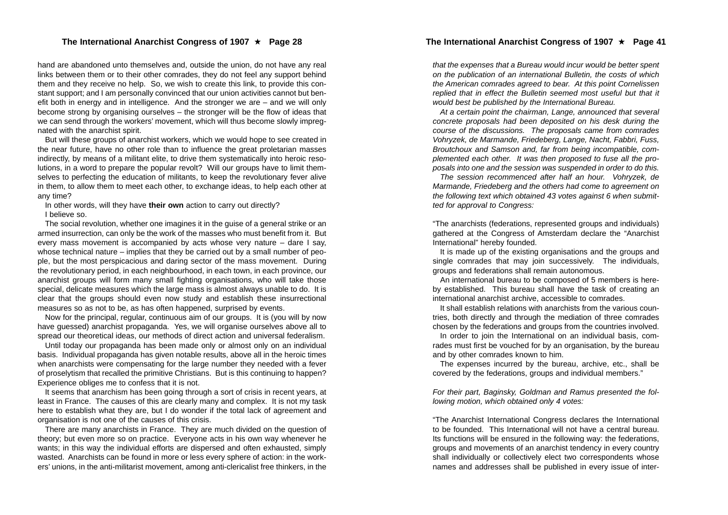#### The International Anarchist Congress of 1907 ★ Page 28

hand are abandoned unto themselves and, outside the union, do not have any real links between them or to their other comrades, they do not feel any support behind them and they receive no help. So, we wish to create this link, to provide this constant support; and I am personally convinced that our union activities cannot but benefit both in energy and in intelligence. And the stronger we are – and we will only become strong by organising ourselves – the stronger will be the flow of ideas that we can send through the workers' movement, which will thus become slowly impregnated with the anarchist spirit.

But will these groups of anarchist workers, which we would hope to see created in the near future, have no other role than to influence the great proletarian masses indirectly, by means of a militant elite, to drive them systematically into heroic resolutions, in a word to prepare the popular revolt? Will our groups have to limit themselves to perfecting the education of militants, to keep the revolutionary fever alive in them, to allow them to meet each other, to exchange ideas, to help each other at any time?

In other words, will they have **their own** action to carry out directly? I believe so.

The social revolution, whether one imagines it in the guise of a general strike or an armed insurrection, can only be the work of the masses who must benefit from it. But every mass movement is accompanied by acts whose very nature – dare I say, whose technical nature – implies that they be carried out by a small number of people, but the most perspicacious and daring sector of the mass movement. During the revolutionary period, in each neighbourhood, in each town, in each province, our anarchist groups will form many small fighting organisations, who will take those special, delicate measures which the large mass is almost always unable to do. It is clear that the groups should even now study and establish these insurrectional measures so as not to be, as has often happened, surprised by events.

Now for the principal, regular, continuous aim of our groups. It is (you will by now have guessed) anarchist propaganda. Yes, we will organise ourselves above all to spread our theoretical ideas, our methods of direct action and universal federalism.

Until today our propaganda has been made only or almost only on an individual basis. Individual propaganda has given notable results, above all in the heroic times when anarchists were compensating for the large number they needed with a fever of proselytism that recalled the primitive Christians. But is this continuing to happen? Experience obliges me to confess that it is not.

It seems that anarchism has been going through a sort of crisis in recent years, at least in France. The causes of this are clearly many and complex. It is not my task here to establish what they are, but I do wonder if the total lack of agreement and organisation is not one of the causes of this crisis.

There are many anarchists in France. They are much divided on the question of theory; but even more so on practice. Everyone acts in his own way whenever he wants; in this way the individual efforts are dispersed and often exhausted, simply wasted. Anarchists can be found in more or less every sphere of action: in the workers' unions, in the anti-militarist movement, among anti-clericalist free thinkers, in the

*that the expenses that a Bureau would incur would be better spent on the publication of an international Bulletin, the costs of which the American comrades agreed to bear. At this point Cornelissen replied that in effect the Bulletin seemed most useful but that it would best be published by the International Bureau.*

*At a certain point the chairman, Lange, announced that several concrete proposals had been deposited on his desk during the course of the discussions. The proposals came from comrades Vohryzek, de Marmande, Friedeberg, Lange, Nacht, Fabbri, Fuss, Broutchoux and Samson and, far from being incompatible, complemented each other. It was then proposed to fuse all the proposals into one and the session was suspended in order to do this.*

*The session recommenced after half an hour. Vohryzek, de Marmande, Friedeberg and the others had come to agreement on the following text which obtained 43 votes against 6 when submitted for approval to Congress:*

"The anarchists (federations, represented groups and individuals) gathered at the Congress of Amsterdam declare the "Anarchist International" hereby founded.

It is made up of the existing organisations and the groups and single comrades that may join successively. The individuals, groups and federations shall remain autonomous.

An international bureau to be composed of 5 members is hereby established. This bureau shall have the task of creating an international anarchist archive, accessible to comrades.

It shall establish relations with anarchists from the various countries, both directly and through the mediation of three comrades chosen by the federations and groups from the countries involved.

In order to join the International on an individual basis, comrades must first be vouched for by an organisation, by the bureau and by other comrades known to him.

The expenses incurred by the bureau, archive, etc., shall be covered by the federations, groups and individual members."

*For their part, Baginsky, Goldman and Ramus presented the following motion, which obtained only 4 votes:*

"The Anarchist International Congress declares the International to be founded. This International will not have a central bureau. Its functions will be ensured in the following way: the federations, groups and movements of an anarchist tendency in every country shall individually or collectively elect two correspondents whose names and addresses shall be published in every issue of inter-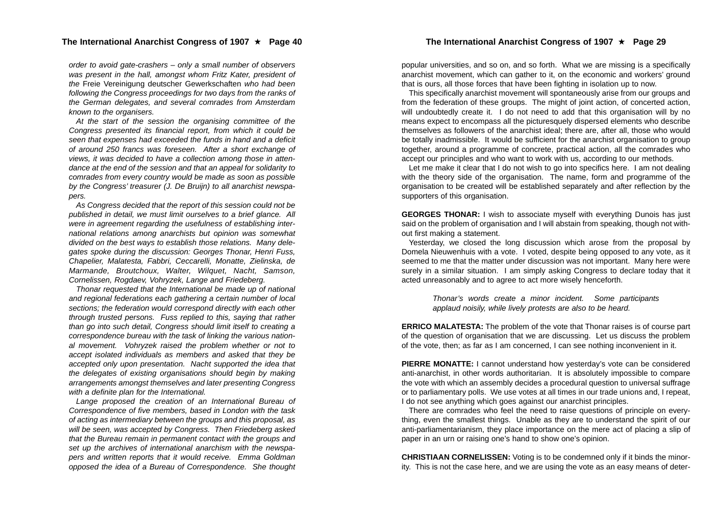#### The International Anarchist Congress of 1907 ★ Page 40

*order to avoid gate-crashers – only a small number of observers was present in the hall, amongst whom Fritz Kater, president of the* Freie Vereinigung deutscher Gewerkschaften *who had been following the Congress proceedings for two days from the ranks of the German delegates, and several comrades from Amsterdam known to the organisers.*

*At the start of the session the organising committee of the Congress presented its financial report, from which it could be seen that expenses had exceeded the funds in hand and a deficit of around 250 francs was foreseen. After a short exchange of views, it was decided to have a collection among those in attendance at the end of the session and that an appeal for solidarity to comrades from every country would be made as soon as possible by the Congress' treasurer (J. De Bruijn) to all anarchist newspapers.*

*As Congress decided that the report of this session could not be published in detail, we must limit ourselves to a brief glance. All were in agreement regarding the usefulness of establishing international relations among anarchists but opinion was somewhat divided on the best ways to establish those relations. Many delegates spoke during the discussion: Georges Thonar, Henri Fuss, Chapelier, Malatesta, Fabbri, Ceccarelli, Monatte, Zielinska, de Marmande, Broutchoux, Walter, Wilquet, Nacht, Samson, Cornelissen, Rogdaev, Vohryzek, Lange and Friedeberg.*

*Thonar requested that the International be made up of national and regional federations each gathering a certain number of local sections; the federation would correspond directly with each other through trusted persons. Fuss replied to this, saying that rather than go into such detail, Congress should limit itself to creating a correspondence bureau with the task of linking the various national movement. Vohryzek raised the problem whether or not to accept isolated individuals as members and asked that they be accepted only upon presentation. Nacht supported the idea that the delegates of existing organisations should begin by making arrangements amongst themselves and later presenting Congress with a definite plan for the International.*

*Lange proposed the creation of an International Bureau of Correspondence of five members, based in London with the task of acting as intermediary between the groups and this proposal, as will be seen, was accepted by Congress. Then Friedeberg asked that the Bureau remain in permanent contact with the groups and set up the archives of international anarchism with the newspapers and written reports that it would receive. Emma Goldman opposed the idea of a Bureau of Correspondence. She thought*

popular universities, and so on, and so forth. What we are missing is a specifically anarchist movement, which can gather to it, on the economic and workers' ground that is ours, all those forces that have been fighting in isolation up to now.

This specifically anarchist movement will spontaneously arise from our groups and from the federation of these groups. The might of joint action, of concerted action, will undoubtedly create it. I do not need to add that this organisation will by no means expect to encompass all the picturesquely dispersed elements who describe themselves as followers of the anarchist ideal; there are, after all, those who would be totally inadmissible. It would be sufficient for the anarchist organisation to group together, around a programme of concrete, practical action, all the comrades who accept our principles and who want to work with us, according to our methods.

Let me make it clear that I do not wish to go into specifics here. I am not dealing with the theory side of the organisation. The name, form and programme of the organisation to be created will be established separately and after reflection by the supporters of this organisation.

**GEORGES THONAR:** I wish to associate myself with everything Dunois has just said on the problem of organisation and I will abstain from speaking, though not without first making a statement.

Yesterday, we closed the long discussion which arose from the proposal by Domela Nieuwenhuis with a vote. I voted, despite being opposed to any vote, as it seemed to me that the matter under discussion was not important. Many here were surely in a similar situation. I am simply asking Congress to declare today that it acted unreasonably and to agree to act more wisely henceforth.

> *Thonar's words create a minor incident. Some participants applaud noisily, while lively protests are also to be heard.*

**ERRICO MALATESTA:** The problem of the vote that Thonar raises is of course part of the question of organisation that we are discussing. Let us discuss the problem of the vote, then; as far as I am concerned, I can see nothing inconvenient in it.

**PIERRE MONATTE:** I cannot understand how yesterday's vote can be considered anti-anarchist, in other words authoritarian. It is absolutely impossible to compare the vote with which an assembly decides a procedural question to universal suffrage or to parliamentary polls. We use votes at all times in our trade unions and, I repeat, I do not see anything which goes against our anarchist principles.

There are comrades who feel the need to raise questions of principle on everything, even the smallest things. Unable as they are to understand the spirit of our anti-parliamentarianism, they place importance on the mere act of placing a slip of paper in an urn or raising one's hand to show one's opinion.

**CHRISTIAAN CORNELISSEN:** Voting is to be condemned only if it binds the minority. This is not the case here, and we are using the vote as an easy means of deter-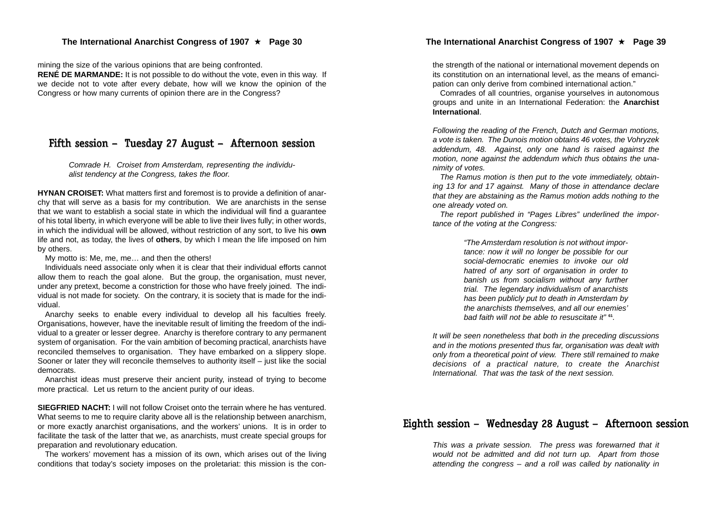mining the size of the various opinions that are being confronted. **RENÉ DE MARMANDE:** It is not possible to do without the vote, even in this way. If we decide not to vote after every debate, how will we know the opinion of the Congress or how many currents of opinion there are in the Congress?

## Fifth session – Tuesday 27 August – Afternoon session

*Comrade H. Croiset from Amsterdam, representing the individualist tendency at the Congress, takes the floor.*

**HYNAN CROISET:** What matters first and foremost is to provide a definition of anarchy that will serve as a basis for my contribution. We are anarchists in the sense that we want to establish a social state in which the individual will find a guarantee of his total liberty, in which everyone will be able to live their lives fully; in other words, in which the individual will be allowed, without restriction of any sort, to live his **own** life and not, as today, the lives of **others**, by which I mean the life imposed on him by others.

My motto is: Me, me, me… and then the others!

Individuals need associate only when it is clear that their individual efforts cannot allow them to reach the goal alone. But the group, the organisation, must never, under any pretext, become a constriction for those who have freely joined. The individual is not made for society. On the contrary, it is society that is made for the individual.

Anarchy seeks to enable every individual to develop all his faculties freely. Organisations, however, have the inevitable result of limiting the freedom of the individual to a greater or lesser degree. Anarchy is therefore contrary to any permanent system of organisation. For the vain ambition of becoming practical, anarchists have reconciled themselves to organisation. They have embarked on a slippery slope. Sooner or later they will reconcile themselves to authority itself – just like the social democrats.

Anarchist ideas must preserve their ancient purity, instead of trying to become more practical. Let us return to the ancient purity of our ideas.

**SIEGFRIED NACHT:** I will not follow Croiset onto the terrain where he has ventured. What seems to me to require clarity above all is the relationship between anarchism, or more exactly anarchist organisations, and the workers' unions. It is in order to facilitate the task of the latter that we, as anarchists, must create special groups for preparation and revolutionary education.

The workers' movement has a mission of its own, which arises out of the living conditions that today's society imposes on the proletariat: this mission is the con-

the strength of the national or international movement depends on its constitution on an international level, as the means of emanci pation can only derive from combined international action."

Comrades of all countries, organise yourselves in autonomous groups and unite in an International Federation: the **Anarchist International**.

*Following the reading of the French, Dutch and German motions, a vote is taken. The Dunois motion obtains 46 votes, the Vohryzek addendum, 48. Against, only one hand is raised against the motion, none against the addendum which thus obtains the una nimity of votes.*

*The Ramus motion is then put to the vote immediately, obtain ing 13 for and 17 against. Many of those in attendance declare that they are abstaining as the Ramus motion adds nothing to the one already voted on.*

*The report published in "Pages Libres" underlined the impor tance of the voting at the Congress:*

*"The Amsterdam resolution is not without impor tance: now it will no longer be possible for our social-democratic enemies to invoke our old hatred of any sort of organisation in order to banish us from socialism without any further trial. The legendary individualism of anarchists has been publicly put to death in Amsterdam by the anarchists themselves, and all our enemies' bad faith will not be able to resuscitate it"* **<sup>61</sup>***.* **The International Anarchist Congress of 1907**  $\star$  **Page 39**<br>the strength of the national or international movement depends on<br>pation can only derive from combined international action."<br>Conrades of all conunting level, as

*It will be seen nonetheless that both in the preceding discussions and in the motions presented thus far, organisation was dealt with only from a theoretical point of view. There still remained to make decisions of a practical nature, to create the Anarchist International. That was the task of the next session.*

## Eighth session – Wednesday 28 August – Afternoon session

*This was a private session. The press was forewarned that it would not be admitted and did not turn up. Apart from those*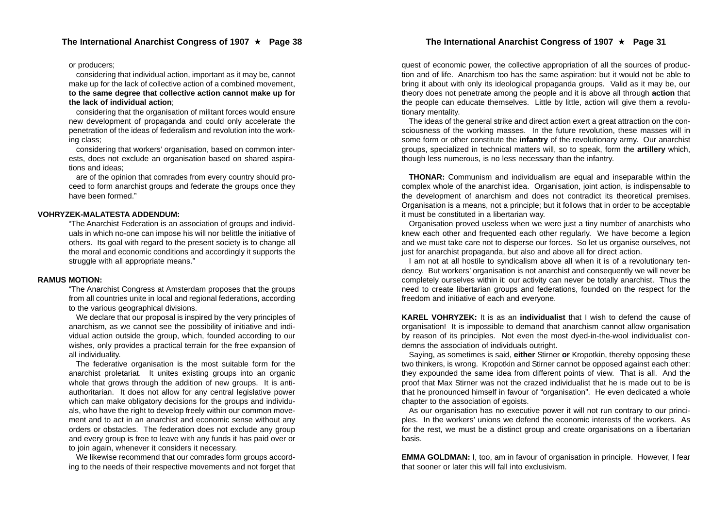#### or producers;

considering that individual action, important as it may be, cannot make up for the lack of collective action of a combined movement, **to the same degree that collective action cannot make up for the lack of individual action**;

considering that the organisation of militant forces would ensure new development of propaganda and could only accelerate the penetration of the ideas of federalism and revolution into the working class;

considering that workers' organisation, based on common interests, does not exclude an organisation based on shared aspirations and ideas;

are of the opinion that comrades from every country should proceed to form anarchist groups and federate the groups once they have been formed."

#### **VOHRYZEK-MALATESTA ADDENDUM:**

"The Anarchist Federation is an association of groups and individuals in which no-one can impose his will nor belittle the initiative of others. Its goal with regard to the present society is to change all the moral and economic conditions and accordingly it supports the struggle with all appropriate means."

#### **RAMUS MOTION:**

"The Anarchist Congress at Amsterdam proposes that the groups from all countries unite in local and regional federations, according to the various geographical divisions.

We declare that our proposal is inspired by the very principles of anarchism, as we cannot see the possibility of initiative and individual action outside the group, which, founded according to our wishes, only provides a practical terrain for the free expansion of all individuality.

The federative organisation is the most suitable form for the anarchist proletariat. It unites existing groups into an organic whole that grows through the addition of new groups. It is antiauthoritarian. It does not allow for any central legislative power which can make obligatory decisions for the groups and individuals, who have the right to develop freely within our common movement and to act in an anarchist and economic sense without any orders or obstacles. The federation does not exclude any group and every group is free to leave with any funds it has paid over or to join again, whenever it considers it necessary.

We likewise recommend that our comrades form groups according to the needs of their respective movements and not forget that

quest of economic power, the collective appropriation of all the sources of production and of life. Anarchism too has the same aspiration: but it would not be able to bring it about with only its ideological propaganda groups. Valid as it may be, our theory does not penetrate among the people and it is above all through **action** that the people can educate themselves. Little by little, action will give them a revolutionary mentality.

The ideas of the general strike and direct action exert a great attraction on the consciousness of the working masses. In the future revolution, these masses will in some form or other constitute the **infantry** of the revolutionary army. Our anarchist groups, specialized in technical matters will, so to speak, form the **artillery** which, though less numerous, is no less necessary than the infantry.

**THONAR:** Communism and individualism are equal and inseparable within the complex whole of the anarchist idea. Organisation, joint action, is indispensable to the development of anarchism and does not contradict its theoretical premises. Organisation is a means, not a principle; but it follows that in order to be acceptable it must be constituted in a libertarian way.

Organisation proved useless when we were just a tiny number of anarchists who knew each other and frequented each other regularly. We have become a legion and we must take care not to disperse our forces. So let us organise ourselves, not just for anarchist propaganda, but also and above all for direct action.

I am not at all hostile to syndicalism above all when it is of a revolutionary tendency. But workers' organisation is not anarchist and consequently we will never be completely ourselves within it: our activity can never be totally anarchist. Thus the need to create libertarian groups and federations, founded on the respect for the freedom and initiative of each and everyone.

**KAREL VOHRYZEK:** It is as an **individualist** that I wish to defend the cause of organisation! It is impossible to demand that anarchism cannot allow organisation by reason of its principles. Not even the most dyed-in-the-wool individualist condemns the association of individuals outright.

Saying, as sometimes is said, **either** Stirner **or** Kropotkin, thereby opposing these two thinkers, is wrong. Kropotkin and Stirner cannot be opposed against each other: they expounded the same idea from different points of view. That is all. And the proof that Max Stirner was not the crazed individualist that he is made out to be is that he pronounced himself in favour of "organisation". He even dedicated a whole chapter to the association of egoists.

As our organisation has no executive power it will not run contrary to our principles. In the workers' unions we defend the economic interests of the workers. As for the rest, we must be a distinct group and create organisations on a libertarian basis.

**EMMA GOLDMAN:** I, too, am in favour of organisation in principle. However, I fear that sooner or later this will fall into exclusivism.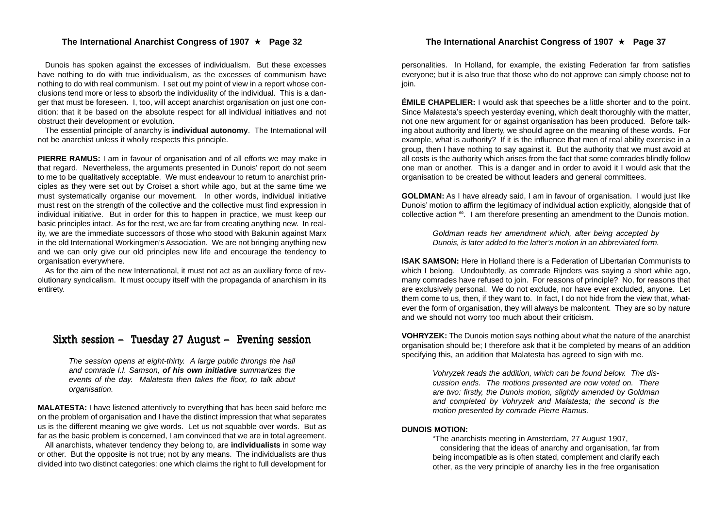#### The International Anarchist Congress of 1907 ★ Page 32

Dunois has spoken against the excesses of individualism. But these excesses have nothing to do with true individualism, as the excesses of communism have nothing to do with real communism. I set out my point of view in a report whose conclusions tend more or less to absorb the individuality of the individual. This is a danger that must be foreseen. I, too, will accept anarchist organisation on just one condition: that it be based on the absolute respect for all individual initiatives and not obstruct their development or evolution.

The essential principle of anarchy is **individual autonomy**. The International will not be anarchist unless it wholly respects this principle.

**PIERRE RAMUS:** I am in favour of organisation and of all efforts we may make in that regard. Nevertheless, the arguments presented in Dunois' report do not seem to me to be qualitatively acceptable. We must endeavour to return to anarchist principles as they were set out by Croiset a short while ago, but at the same time we must systematically organise our movement. In other words, individual initiative must rest on the strength of the collective and the collective must find expression in individual initiative. But in order for this to happen in practice, we must keep our basic principles intact. As for the rest, we are far from creating anything new. In reality, we are the immediate successors of those who stood with Bakunin against Marx in the old International Workingmen's Association. We are not bringing anything new and we can only give our old principles new life and encourage the tendency to organisation everywhere.

As for the aim of the new International, it must not act as an auxiliary force of revolutionary syndicalism. It must occupy itself with the propaganda of anarchism in its entirety.

### Sixth session – Tuesday 27 August – Evening session

*The session opens at eight-thirty. A large public throngs the hall and comrade I.I. Samson, of his own initiative summarizes the events of the day. Malatesta then takes the floor, to talk about organisation.*

**MALATESTA:** I have listened attentively to everything that has been said before me on the problem of organisation and I have the distinct impression that what separates us is the different meaning we give words. Let us not squabble over words. But as far as the basic problem is concerned, I am convinced that we are in total agreement.

All anarchists, whatever tendency they belong to, are **individualists** in some way or other. But the opposite is not true; not by any means. The individualists are thus divided into two distinct categories: one which claims the right to full development for

personalities. In Holland, for example, the existing Federation far from satisfies everyone; but it is also true that those who do not approve can simply choose not to join.

**ÉMILE CHAPELIER:** I would ask that speeches be a little shorter and to the point. Since Malatesta's speech yesterday evening, which dealt thoroughly with the matter, not one new argument for or against organisation has been produced. Before talking about authority and liberty, we should agree on the meaning of these words. For example, what is authority? If it is the influence that men of real ability exercise in a group, then I have nothing to say against it. But the authority that we must avoid at all costs is the authority which arises from the fact that some comrades blindly follow one man or another. This is a danger and in order to avoid it I would ask that the organisation to be created be without leaders and general committees.

**GOLDMAN:** As I have already said, I am in favour of organisation. I would just like Dunois' motion to affirm the legitimacy of individual action explicitly, alongside that of collective action **<sup>60</sup>**. I am therefore presenting an amendment to the Dunois motion.

> *Goldman reads her amendment which, after being accepted by Dunois, is later added to the latter's motion in an abbreviated form.*

**ISAK SAMSON:** Here in Holland there is a Federation of Libertarian Communists to which I belong. Undoubtedly, as comrade Rijnders was saying a short while ago. many comrades have refused to join. For reasons of principle? No, for reasons that are exclusively personal. We do not exclude, nor have ever excluded, anyone. Let them come to us, then, if they want to. In fact, I do not hide from the view that, whatever the form of organisation, they will always be malcontent. They are so by nature and we should not worry too much about their criticism.

**VOHRYZEK:** The Dunois motion says nothing about what the nature of the anarchist organisation should be; I therefore ask that it be completed by means of an addition specifying this, an addition that Malatesta has agreed to sign with me.

> *Vohryzek reads the addition, which can be found below. The discussion ends. The motions presented are now voted on. There are two: firstly, the Dunois motion, slightly amended by Goldman and completed by Vohryzek and Malatesta; the second is the motion presented by comrade Pierre Ramus.*

#### **DUNOIS MOTION:**

"The anarchists meeting in Amsterdam, 27 August 1907, considering that the ideas of anarchy and organisation, far from being incompatible as is often stated, complement and clarify each other, as the very principle of anarchy lies in the free organisation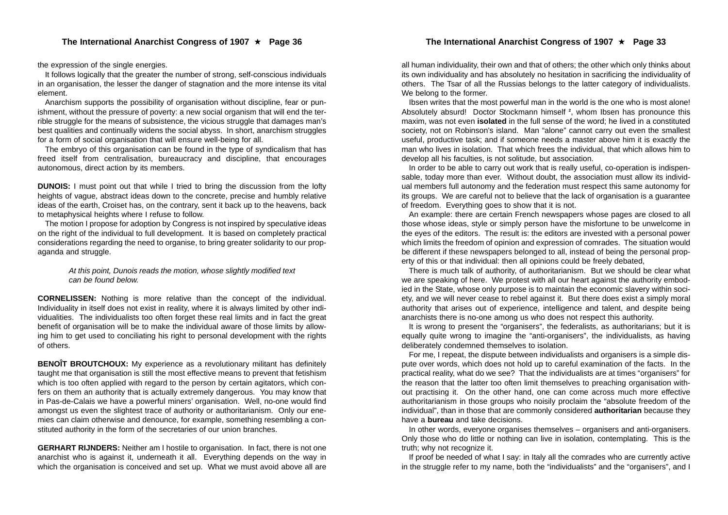the expression of the single energies.

It follows logically that the greater the number of strong, self-conscious individuals in an organisation, the lesser the danger of stagnation and the more intense its vital element.

Anarchism supports the possibility of organisation without discipline, fear or punishment, without the pressure of poverty: a new social organism that will end the terrible struggle for the means of subsistence, the vicious struggle that damages man's best qualities and continually widens the social abyss. In short, anarchism struggles for a form of social organisation that will ensure well-being for all.

The embryo of this organisation can be found in the type of syndicalism that has freed itself from centralisation, bureaucracy and discipline, that encourages autonomous, direct action by its members.

**DUNOIS:** I must point out that while I tried to bring the discussion from the lofty heights of vague, abstract ideas down to the concrete, precise and humbly relative ideas of the earth, Croiset has, on the contrary, sent it back up to the heavens, back to metaphysical heights where I refuse to follow.

The motion I propose for adoption by Congress is not inspired by speculative ideas on the right of the individual to full development. It is based on completely practical considerations regarding the need to organise, to bring greater solidarity to our propaganda and struggle.

> *At this point, Dunois reads the motion, whose slightly modified text can be found below.*

**CORNELISSEN:** Nothing is more relative than the concept of the individual. Individuality in itself does not exist in reality, where it is always limited by other individualities. The individualists too often forget these real limits and in fact the great benefit of organisation will be to make the individual aware of those limits by allowing him to get used to conciliating his right to personal development with the rights of others.

**BENOIT BROUTCHOUX:** My experience as a revolutionary militant has definitely taught me that organisation is still the most effective means to prevent that fetishism which is too often applied with regard to the person by certain agitators, which confers on them an authority that is actually extremely dangerous. You may know that in Pas-de-Calais we have a powerful miners' organisation. Well, no-one would find amongst us even the slightest trace of authority or authoritarianism. Only our enemies can claim otherwise and denounce, for example, something resembling a constituted authority in the form of the secretaries of our union branches.

**GERHART RIJNDERS:** Neither am I hostile to organisation. In fact, there is not one anarchist who is against it, underneath it all. Everything depends on the way in which the organisation is conceived and set up. What we must avoid above all are

all human individuality, their own and that of others; the other which only thinks about its own individuality and has absolutely no hesitation in sacrificing the individuality of others. The Tsar of all the Russias belongs to the latter category of individualists. We belong to the former.

Ibsen writes that the most powerful man in the world is the one who is most alone! Absolutely absurd! Doctor Stockmann himself **<sup>2</sup>**, whom Ibsen has pronounce this maxim, was not even **isolated** in the full sense of the word; he lived in a constituted society, not on Robinson's island. Man "alone" cannot carry out even the smallest useful, productive task; and if someone needs a master above him it is exactly the man who lives in isolation. That which frees the individual, that which allows him to develop all his faculties, is not solitude, but association.

In order to be able to carry out work that is really useful, co-operation is indispensable, today more than ever. Without doubt, the association must allow its individual members full autonomy and the federation must respect this same autonomy for its groups. We are careful not to believe that the lack of organisation is a guarantee of freedom. Everything goes to show that it is not.

An example: there are certain French newspapers whose pages are closed to all those whose ideas, style or simply person have the misfortune to be unwelcome in the eyes of the editors. The result is: the editors are invested with a personal power which limits the freedom of opinion and expression of comrades. The situation would be different if these newspapers belonged to all, instead of being the personal property of this or that individual: then all opinions could be freely debated,

There is much talk of authority, of authoritarianism. But we should be clear what we are speaking of here. We protest with all our heart against the authority embodied in the State, whose only purpose is to maintain the economic slavery within society, and we will never cease to rebel against it. But there does exist a simply moral authority that arises out of experience, intelligence and talent, and despite being anarchists there is no-one among us who does not respect this authority.

It is wrong to present the "organisers", the federalists, as authoritarians; but it is equally quite wrong to imagine the "anti-organisers", the individualists, as having deliberately condemned themselves to isolation.

For me, I repeat, the dispute between individualists and organisers is a simple dispute over words, which does not hold up to careful examination of the facts. In the practical reality, what do we see? That the individualists are at times "organisers" for the reason that the latter too often limit themselves to preaching organisation without practising it. On the other hand, one can come across much more effective authoritarianism in those groups who noisily proclaim the "absolute freedom of the individual", than in those that are commonly considered **authoritarian** because they have a **bureau** and take decisions.

In other words, everyone organises themselves – organisers and anti-organisers. Only those who do little or nothing can live in isolation, contemplating. This is the truth; why not recognize it.

If proof be needed of what I say: in Italy all the comrades who are currently active in the struggle refer to my name, both the "individualists" and the "organisers", and I